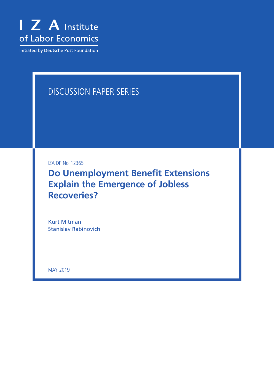

Initiated by Deutsche Post Foundation

# DISCUSSION PAPER SERIES

IZA DP No. 12365

**Do Unemployment Benefit Extensions Explain the Emergence of Jobless Recoveries?**

Kurt Mitman Stanislav Rabinovich

MAY 2019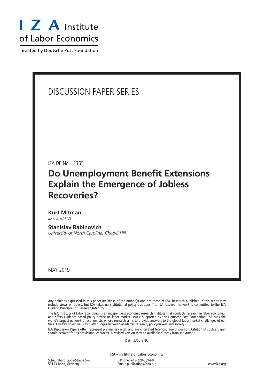

Initiated by Deutsche Post Foundation

# DISCUSSION PAPER SERIES

IZA DP No. 12365

# **Do Unemployment Benefit Extensions Explain the Emergence of Jobless Recoveries?**

**Kurt Mitman** *IIES and IZA*

**Stanislav Rabinovich** *University of North Carolina, Chapel Hill*

MAY 2019

Any opinions expressed in this paper are those of the author(s) and not those of IZA. Research published in this series may include views on policy, but IZA takes no institutional policy positions. The IZA research network is committed to the IZA Guiding Principles of Research Integrity.

The IZA Institute of Labor Economics is an independent economic research institute that conducts research in labor economics and offers evidence-based policy advice on labor market issues. Supported by the Deutsche Post Foundation, IZA runs the world's largest network of economists, whose research aims to provide answers to the global labor market challenges of our time. Our key objective is to build bridges between academic research, policymakers and society.

IZA Discussion Papers often represent preliminary work and are circulated to encourage discussion. Citation of such a paper should account for its provisional character. A revised version may be available directly from the author.

ISSN: 2365-9793

**IZA – Institute of Labor Economics**

| Schaumburg-Lippe-Straße 5-9 | Phone: +49-228-3894-0       |             |
|-----------------------------|-----------------------------|-------------|
| 53113 Bonn, Germany         | Email: publications@iza.org | www.iza.org |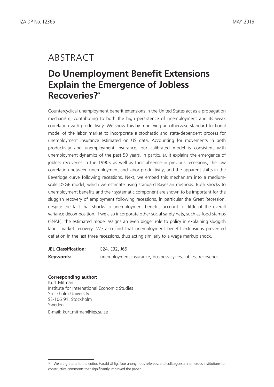# ABSTRACT

# **Do Unemployment Benefit Extensions Explain the Emergence of Jobless Recoveries?\***

Countercyclical unemployment benefit extensions in the United States act as a propagation mechanism, contributing to both the high persistence of unemployment and its weak correlation with productivity. We show this by modifying an otherwise standard frictional model of the labor market to incorporate a stochastic and state-dependent process for unemployment insurance estimated on US data. Accounting for movements in both productivity and unemployment insurance, our calibrated model is consistent with unemployment dynamics of the past 50 years. In particular, it explains the emergence of jobless recoveries in the 1990's as well as their absence in previous recessions, the low correlation between unemployment and labor productivity, and the apparent shifts in the Beveridge curve following recessions. Next, we embed this mechanism into a mediumscale DSGE model, which we estimate using standard Bayesian methods. Both shocks to unemployment benefits and their systematic component are shown to be important for the sluggish recovery of employment following recessions, in particular the Great Recession, despite the fact that shocks to unemployment benefits account for little of the overall variance decomposition. If we also incorporate other social safety nets, such as food stamps (SNAP), the estimated model assigns an even bigger role to policy in explaining sluggish labor market recovery. We also find that unemployment benefit extensions prevented deflation in the last three recessions, thus acting similarly to a wage markup shock.

| <b>JEL Classification:</b> | E24, E32, J65                                               |
|----------------------------|-------------------------------------------------------------|
| Keywords:                  | unemployment insurance, business cycles, jobless recoveries |

#### **Corresponding author:**

Kurt Mitman Institute for International Economic Studies Stockholm University SE-106 91, Stockholm Sweden E-mail: kurt.mitman@iies.su.se

<sup>\*</sup> We are grateful to the editor, Harald Uhlig, four anonymous referees, and colleagues at numerous institutions for constructive comments that significantly improved the paper.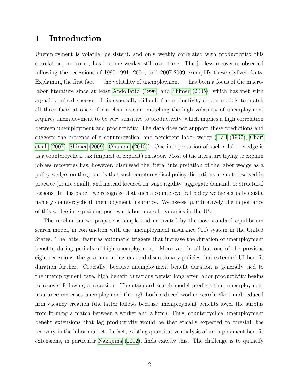## 1 Introduction

Unemployment is volatile, persistent, and only weakly correlated with productivity; this correlation, moreover, has become weaker still over time. The jobless recoveries observed following the recessions of 1990-1991, 2001, and 2007-2009 exemplify these stylized facts. Explaining the first fact — the volatility of unemployment — has been a focus of the macrolabor literature since at least [Andolfatto \(1996\)](#page-25-0) and [Shimer \(2005\)](#page-28-0), which has met with arguably mixed success. It is especially difficult for productivity-driven models to match all three facts at once—for a clear reason: matching the high volatility of unemployment requires unemployment to be very sensitive to productivity, which implies a high correlation between unemployment and productivity. The data does not support these predictions and suggests the presence of a countercyclical and persistent labor wedge [\(Hall \(1997\)](#page-27-0), [Chari](#page-26-0) [et al. \(2007\)](#page-26-0), [Shimer \(2009\)](#page-28-1), [Ohanian \(2010\)](#page-28-2)). One interpretation of such a labor wedge is as a countercyclical tax (implicit or explicit) on labor. Most of the literature trying to explain jobless recoveries has, however, dismissed the literal interpretation of the labor wedge as a policy wedge, on the grounds that such countercyclical policy distortions are not observed in practice (or are small), and instead focused on wage rigidity, aggregate demand, or structural reasons. In this paper, we recognize that such a countercyclical policy wedge actually exists, namely countercyclical unemployment insurance. We assess quantitatively the importance of this wedge in explaining post-war labor-market dynamics in the US.

The mechanism we propose is simple and motivated by the now-standard equilibrium search model, in conjunction with the unemployment insurance (UI) system in the United States. The latter features automatic triggers that increase the duration of unemployment benefits during periods of high unemployment. Moreover, in all but one of the previous eight recessions, the government has enacted discretionary policies that extended UI benefit duration further. Crucially, because unemployment benefit duration is generally tied to the unemployment rate, high benefit durations persist long after labor productivity begins to recover following a recession. The standard search model predicts that unemployment insurance increases unemployment through both reduced worker search effort and reduced firm vacancy creation (the latter follows because unemployment benefits lower the surplus from forming a match between a worker and a firm). Thus, countercyclical unemployment benefit extensions that lag productivity would be theoretically expected to forestall the recovery in the labor market. In fact, existing quantitative analysis of unemployment benefit extensions, in particular [Nakajima \(2012\)](#page-28-3), finds exactly this. The challenge is to quantify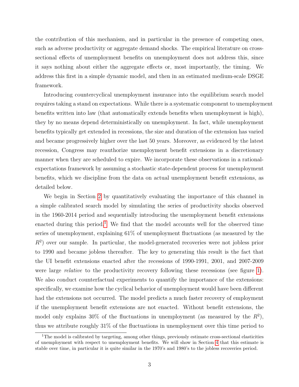the contribution of this mechanism, and in particular in the presence of competing ones, such as adverse productivity or aggregate demand shocks. The empirical literature on crosssectional effects of unemployment benefits on unemployment does not address this, since it says nothing about either the aggregate effects or, most importantly, the timing. We address this first in a simple dynamic model, and then in an estimated medium-scale DSGE framework.

Introducing countercyclical unemployment insurance into the equilibrium search model requires taking a stand on expectations. While there is a systematic component to unemployment benefits written into law (that automatically extends benefits when unemployment is high), they by no means depend deterministically on unemployment. In fact, while unemployment benefits typically get extended in recessions, the size and duration of the extension has varied and became progressively higher over the last 50 years. Moreover, as evidenced by the latest recession, Congress may reauthorize unemployment benefit extensions in a discretionary manner when they are scheduled to expire. We incorporate these observations in a rationalexpectations framework by assuming a stochastic state-dependent process for unemployment benefits, which we discipline from the data on actual unemployment benefit extensions, as detailed below.

We begin in Section [2](#page-8-0) by quantitatively evaluating the importance of this channel in a simple calibrated search model by simulating the series of productivity shocks observed in the 1960-2014 period and sequentially introducing the unemployment benefit extensions enacted during this period.<sup>[1](#page--1-0)</sup> We find that the model accounts well for the observed time series of unemployment, explaining 61% of unemployment fluctuations (as measured by the  $R<sup>2</sup>$ ) over our sample. In particular, the model-generated recoveries were not jobless prior to 1990 and became jobless thereafter. The key to generating this result is the fact that the UI benefit extensions enacted after the recessions of 1990-1991, 2001, and 2007-2009 were large *relative* to the productivity recovery following these recessions (see figure [1\)](#page-43-0). We also conduct counterfactual experiments to quantify the importance of the extensions: specifically, we examine how the cyclical behavior of unemployment would have been different had the extensions not occurred. The model predicts a much faster recovery of employment if the unemployment benefit extensions are not enacted. Without benefit extensions, the model only explains 30% of the fluctuations in unemployment (as measured by the  $R^2$ ), thus we attribute roughly 31% of the fluctuations in unemployment over this time period to

<sup>&</sup>lt;sup>1</sup>The model is calibrated by targeting, among other things, previously estimate cross-sectional elasticities of unemployment with respect to unemployment benefits. We will show in Section [4](#page-23-0) that this estimate is stable over time, in particular it is quite similar in the 1970's and 1980's to the jobless recoveries period.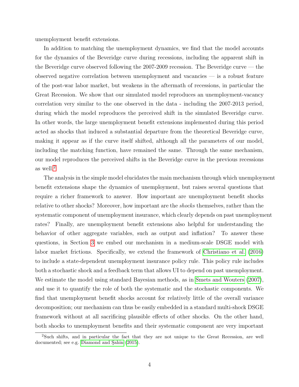unemployment benefit extensions.

In addition to matching the unemployment dynamics, we find that the model accounts for the dynamics of the Beveridge curve during recessions, including the apparent shift in the Beveridge curve observed following the  $2007-2009$  recession. The Beveridge curve — the observed negative correlation between unemployment and vacancies — is a robust feature of the post-war labor market, but weakens in the aftermath of recessions, in particular the Great Recession. We show that our simulated model reproduces an unemployment-vacancy correlation very similar to the one observed in the data - including the 2007-2013 period, during which the model reproduces the perceived shift in the simulated Beveridge curve. In other words, the large unemployment benefit extensions implemented during this period acted as shocks that induced a substantial departure from the theoretical Beveridge curve, making it appear as if the curve itself shifted, although all the parameters of our model, including the matching function, have remained the same. Through the same mechanism, our model reproduces the perceived shifts in the Beveridge curve in the previous recessions as well.[2](#page--1-0)

The analysis in the simple model elucidates the main mechanism through which unemployment benefit extensions shape the dynamics of unemployment, but raises several questions that require a richer framework to answer. How important are unemployment benefit shocks relative to other shocks? Moreover, how important are the shocks themselves, rather than the systematic component of unemployment insurance, which clearly depends on past unemployment rates? Finally, are unemployment benefit extensions also helpful for understanding the behavior of other aggregate variables, such as output and inflation? To answer these questions, in Section [3](#page-16-0) we embed our mechanism in a medium-scale DSGE model with labor market frictions. Specifically, we extend the framework of [Christiano et al. \(2016\)](#page-26-1) to include a state-dependent unemployment insurance policy rule. This policy rule includes both a stochastic shock and a feedback term that allows UI to depend on past unemployment. We estimate the model using standard Bayesian methods, as in [Smets and Wouters \(2007\)](#page-28-4), and use it to quantify the role of both the systematic and the stochastic components. We find that unemployment benefit shocks account for relatively little of the overall variance decomposition; our mechanism can thus be easily embedded in a standard multi-shock DSGE framework without at all sacrificing plausible effects of other shocks. On the other hand, both shocks to unemployment benefits and their systematic component are very important

<sup>2</sup>Such shifts, and in particular the fact that they are not unique to the Great Recession, are well documented; see e.g. Diamond and Sahin [\(2015\)](#page-26-2).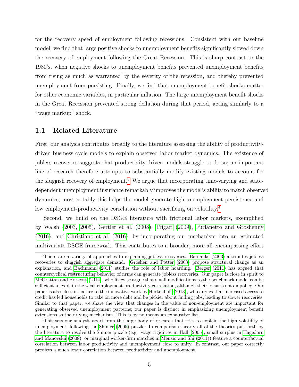for the recovery speed of employment following recessions. Consistent with our baseline model, we find that large positive shocks to unemployment benefits significantly slowed down the recovery of employment following the Great Recession. This is sharp contrast to the 1980's, when negative shocks to unemployment benefits prevented unemployment benefits from rising as much as warranted by the severity of the recession, and thereby prevented unemployment from persisting. Finally, we find that unemployment benefit shocks matter for other economic variables, in particular inflation. The large unemployment benefit shocks in the Great Recession prevented strong deflation during that period, acting similarly to a "wage markup" shock.

#### 1.1 Related Literature

First, our analysis contributes broadly to the literature assessing the ability of productivitydriven business cycle models to explain observed labor market dynamics. The existence of jobless recoveries suggests that productivity-driven models struggle to do so; an important line of research therefore attempts to substantially modify existing models to account for the sluggish recovery of employment.<sup>[3](#page--1-0)</sup> We argue that incorporating time-varying and statedependent unemployment insurance remarkably improves the model's ability to match observed dynamics; most notably this helps the model generate high unemployment persistence and low employment-productivity correlation without sacrificing on volatility.<sup>[4](#page--1-0)</sup>

Second, we build on the DSGE literature with frictional labor markets, exemplified by Walsh [\(2003,](#page-28-5) [2005\)](#page-28-6), [Gertler et al. \(2008\)](#page-26-3), [Trigari \(2009\)](#page-28-7), [Furlanetto and Groshenny](#page-26-4) [\(2016\)](#page-26-4), and [Christiano et al. \(2016\)](#page-26-1), by incorporating our mechanism into an estimated multivariate DSGE framework. This contributes to a broader, more all-encompassing effort

<sup>3</sup>There are a variety of approaches to explaining jobless recoveries. [Bernanke](#page-26-5) [\(2003\)](#page-26-5) attributes jobless recoveries to sluggish aggregate demand. [Groshen and Potter](#page-26-6) [\(2003\)](#page-26-6) propose structural change as an explanation, and [Bachmann](#page-25-1) [\(2011\)](#page-25-1) studies the role of labor hoarding. [Berger](#page-26-7) [\(2011\)](#page-26-7) has argued that countercyclical restructuring behavior of firms can generate jobless recoveries. Our paper is close in spirit to [McGrattan and Prescott](#page-27-1) [\(2014\)](#page-27-1), who likewise argue that small modifications to the benchmark model can be sufficient to explain the weak employment-productivity correlation, although their focus is not on policy. Our paper is also close in nature to the innovative work by [Herkenhoff](#page-27-2) [\(2013\)](#page-27-2), who argues that increased access to credit has led households to take on more debt and be pickier about finding jobs, leading to slower recoveries. Similar to that paper, we share the view that changes in the value of non-employment are important for generating observed unemployment patterns; our paper is distinct in emphasizing unemployment benefit extensions as the driving mechanism. This is by no means an exhaustive list.

<sup>&</sup>lt;sup>4</sup>This sets our analysis apart from the large body of research that tries to explain the high volatility of unemployment, following the [Shimer](#page-28-0) [\(2005\)](#page-28-0) puzzle. In comparison, nearly all of the theories put forth by the literature to resolve the Shimer puzzle (e.g. wage rigidities in [Hall](#page-27-3) [\(2005\)](#page-27-3), small surplus in [Hagedorn](#page-27-4) [and Manovskii](#page-27-4) [\(2008\)](#page-27-4), or marginal worker-firm matches in [Menzio and Shi](#page-27-5) [\(2011\)](#page-27-5)) feature a counterfactual correlation between labor productivity and unemployment close to unity. In contrast, our paper correctly predicts a much lower correlation between productivity and unemployment.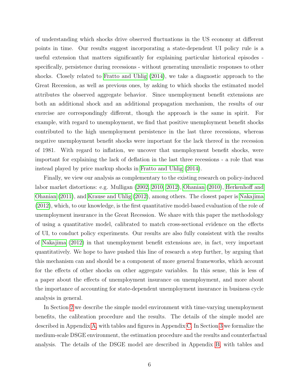of understanding which shocks drive observed fluctuations in the US economy at different points in time. Our results suggest incorporating a state-dependent UI policy rule is a useful extension that matters significantly for explaining particular historical episodes specifically, persistence during recessions - without generating unrealistic responses to other shocks. Closely related to [Fratto and Uhlig \(2014\)](#page-26-8), we take a diagnostic approach to the Great Recession, as well as previous ones, by asking to which shocks the estimated model attributes the observed aggregate behavior. Since unemployment benefit extensions are both an additional shock and an additional propagation mechanism, the results of our exercise are correspondingly different, though the approach is the same in spirit. For example, with regard to unemployment, we find that positive unemployment benefit shocks contributed to the high unemployment persistence in the last three recessions, whereas negative unemployment benefit shocks were important for the lack thereof in the recession of 1981. With regard to inflation, we uncover that unemployment benefit shocks, were important for explaining the lack of deflation in the last three recessions - a role that was instead played by price markup shocks in [Fratto and Uhlig \(2014\)](#page-26-8).

Finally, we view our analysis as complementary to the existing research on policy-induced labor market distortions: e.g. Mulligan [\(2002,](#page-28-8) [2010,](#page-28-9) [2012\)](#page-28-10), [Ohanian \(2010\)](#page-28-2), [Herkenhoff and](#page-27-6) [Ohanian \(2011\)](#page-27-6), and [Krause and Uhlig \(2012\)](#page-27-7), among others. The closest paper is [Nakajima](#page-28-3) [\(2012\)](#page-28-3), which, to our knowledge, is the first quantitative model-based evaluation of the role of unemployment insurance in the Great Recession. We share with this paper the methodology of using a quantitative model, calibrated to match cross-sectional evidence on the effects of UI, to conduct policy experiments. Our results are also fully consistent with the results of [Nakajima \(2012\)](#page-28-3) in that unemployment benefit extensions are, in fact, very important quantitatively. We hope to have pushed this line of research a step further, by arguing that this mechanism can and should be a component of more general frameworks, which account for the effects of other shocks on other aggregate variables. In this sense, this is less of a paper about the effects of unemployment insurance on unemployment, and more about the importance of accounting for state-dependent unemployment insurance in business cycle analysis in general.

In Section [2](#page-8-0) we describe the simple model environment with time-varying unemployment benefits, the calibration procedure and the results. The details of the simple model are described in Appendix [A,](#page-29-0) with tables and figures in Appendix [C.](#page-40-0) In Section [3](#page-16-0) we formalize the medium-scale DSGE environment, the estimation procedure and the results and counterfactual analysis. The details of the DSGE model are described in Appendix [B,](#page-35-0) with tables and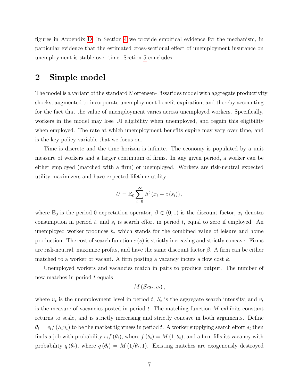figures in Appendix [D.](#page-75-0) In Section [4](#page-23-0) we provide empirical evidence for the mechanism, in particular evidence that the estimated cross-sectional effect of unemployment insurance on unemployment is stable over time. Section [5](#page-25-2) concludes.

## <span id="page-8-0"></span>2 Simple model

The model is a variant of the standard Mortensen-Pissarides model with aggregate productivity shocks, augmented to incorporate unemployment benefit expiration, and thereby accounting for the fact that the value of unemployment varies across unemployed workers. Specifically, workers in the model may lose UI eligibility when unemployed, and regain this eligibility when employed. The rate at which unemployment benefits expire may vary over time, and is the key policy variable that we focus on.

Time is discrete and the time horizon is infinite. The economy is populated by a unit measure of workers and a larger continuum of firms. In any given period, a worker can be either employed (matched with a firm) or unemployed. Workers are risk-neutral expected utility maximizers and have expected lifetime utility

$$
U = \mathbb{E}_0 \sum_{t=0}^{\infty} \beta^t (x_t - c(s_t)),
$$

where  $\mathbb{E}_0$  is the period-0 expectation operator,  $\beta \in (0,1)$  is the discount factor,  $x_t$  denotes consumption in period  $t$ , and  $s_t$  is search effort in period  $t$ , equal to zero if employed. An unemployed worker produces  $h$ , which stands for the combined value of leisure and home production. The cost of search function  $c(s)$  is strictly increasing and strictly concave. Firms are risk-neutral, maximize profits, and have the same discount factor  $\beta$ . A firm can be either matched to a worker or vacant. A firm posting a vacancy incurs a flow cost  $k$ .

Unemployed workers and vacancies match in pairs to produce output. The number of new matches in period t equals

$$
M(S_t u_t, v_t),
$$

where  $u_t$  is the unemployment level in period t,  $S_t$  is the aggregate search intensity, and  $v_t$ is the measure of vacancies posted in period  $t$ . The matching function  $M$  exhibits constant returns to scale, and is strictly increasing and strictly concave in both arguments. Define  $\theta_t = v_t/(S_t u_t)$  to be the market tightness in period t. A worker supplying search effort  $s_t$  then finds a job with probability  $s_t f(\theta_t)$ , where  $f(\theta_t) = M(1, \theta_t)$ , and a firm fills its vacancy with probability  $q(\theta_t)$ , where  $q(\theta_t) = M(1/\theta_t, 1)$ . Existing matches are exogenously destroyed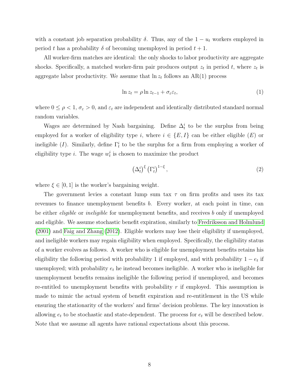with a constant job separation probability  $\delta$ . Thus, any of the  $1 - u_t$  workers employed in period t has a probability  $\delta$  of becoming unemployed in period  $t + 1$ .

All worker-firm matches are identical: the only shocks to labor productivity are aggregate shocks. Specifically, a matched worker-firm pair produces output  $z_t$  in period t, where  $z_t$  is aggregate labor productivity. We assume that  $\ln z_t$  follows an AR(1) process

<span id="page-9-0"></span>
$$
\ln z_t = \rho \ln z_{t-1} + \sigma_\varepsilon \varepsilon_t,\tag{1}
$$

where  $0 \leq \rho < 1$ ,  $\sigma_{\varepsilon} > 0$ , and  $\varepsilon_t$  are independent and identically distributed standard normal random variables.

Wages are determined by Nash bargaining. Define  $\Delta_t^i$  to be the surplus from being employed for a worker of eligibility type i, where  $i \in \{E, I\}$  can be either eligible  $(E)$  or ineligible (*I*). Similarly, define  $\Gamma_t^i$  to be the surplus for a firm from employing a worker of eligibility type *i*. The wage  $w_t^i$  is chosen to maximize the product

$$
\left(\Delta_t^i\right)^{\xi} \left(\Gamma_t^i\right)^{1-\xi},\tag{2}
$$

where  $\xi \in [0, 1]$  is the worker's bargaining weight.

The government levies a constant lump sum tax  $\tau$  on firm profits and uses its tax revenues to finance unemployment benefits b. Every worker, at each point in time, can be either *eligible* or *ineligible* for unemployment benefits, and receives b only if unemployed and eligible. We assume stochastic benefit expiration, similarly to [Fredriksson and Holmlund](#page-26-9) [\(2001\)](#page-26-9) and [Faig and Zhang \(2012\)](#page-26-10). Eligible workers may lose their eligibility if unemployed, and ineligible workers may regain eligibility when employed. Specifically, the eligibility status of a worker evolves as follows. A worker who is eligible for unemployment benefits retains his eligibility the following period with probability 1 if employed, and with probability  $1 - e_t$  if unemployed; with probability  $e_t$  he instead becomes ineligible. A worker who is ineligible for unemployment benefits remains ineligible the following period if unemployed, and becomes re-entitled to unemployment benefits with probability  $r$  if employed. This assumption is made to mimic the actual system of benefit expiration and re-entitlement in the US while ensuring the stationarity of the workers' and firms' decision problems. The key innovation is allowing  $e_t$  to be stochastic and state-dependent. The process for  $e_t$  will be described below. Note that we assume all agents have rational expectations about this process.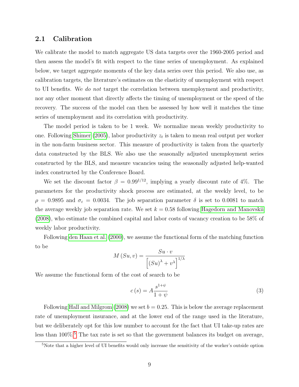### 2.1 Calibration

We calibrate the model to match aggregate US data targets over the 1960-2005 period and then assess the model's fit with respect to the time series of unemployment. As explained below, we target aggregate moments of the key data series over this period. We also use, as calibration targets, the literature's estimates on the elasticity of unemployment with respect to UI benefits. We do not target the correlation between unemployment and productivity, nor any other moment that directly affects the timing of unemployment or the speed of the recovery. The success of the model can then be assessed by how well it matches the time series of unemployment and its correlation with productivity.

The model period is taken to be 1 week. We normalize mean weekly productivity to one. Following [Shimer \(2005\)](#page-28-0), labor productivity  $z_t$  is taken to mean real output per worker in the non-farm business sector. This measure of productivity is taken from the quarterly data constructed by the BLS. We also use the seasonally adjusted unemployment series constructed by the BLS, and measure vacancies using the seasonally adjusted help-wanted index constructed by the Conference Board.

We set the discount factor  $\beta = 0.99^{1/12}$ , implying a yearly discount rate of 4\%. The parameters for the productivity shock process are estimated, at the weekly level, to be  $\rho = 0.9895$  and  $\sigma_{\varepsilon} = 0.0034$ . The job separation parameter  $\delta$  is set to 0.0081 to match the average weekly job separation rate. We set  $k = 0.58$  following [Hagedorn and Manovskii](#page-27-4) [\(2008\)](#page-27-4), who estimate the combined capital and labor costs of vacancy creation to be 58% of weekly labor productivity.

Following [den Haan et al. \(2000\)](#page-26-11), we assume the functional form of the matching function to be

$$
M(Su, v) = \frac{Su \cdot v}{\left[ (Su)^{\lambda} + v^{\lambda} \right]^{1/\lambda}}
$$

We assume the functional form of the cost of search to be

$$
c(s) = A \frac{s^{1+\psi}}{1+\psi} \tag{3}
$$

Following [Hall and Milgrom \(2008\)](#page-27-8) we set  $b = 0.25$ . This is below the average replacement rate of unemployment insurance, and at the lower end of the range used in the literature, but we deliberately opt for this low number to account for the fact that UI take-up rates are less than 100%.<sup>[5](#page--1-0)</sup> The tax rate is set so that the government balances its budget on average,

<sup>&</sup>lt;sup>5</sup>Note that a higher level of UI benefits would only increase the sensitivity of the worker's outside option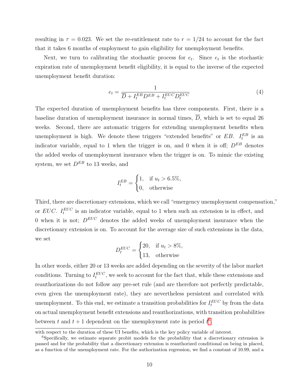resulting in  $\tau = 0.023$ . We set the re-entitlement rate to  $r = 1/24$  to account for the fact that it takes 6 months of employment to gain eligibility for unemployment benefits.

Next, we turn to calibrating the stochastic process for  $e_t$ . Since  $e_t$  is the stochastic expiration rate of unemployment benefit eligibility, it is equal to the inverse of the expected unemployment benefit duration:

$$
e_t = \frac{1}{\overline{D} + I_t^{EB} D^{EB} + I_t^{EUC} D_t^{EUC}} \tag{4}
$$

The expected duration of unemployment benefits has three components. First, there is a baseline duration of unemployment insurance in normal times,  $\overline{D}$ , which is set to equal 26 weeks. Second, there are automatic triggers for extending unemployment benefits when unemployment is high. We denote these triggers "extended benefits" or  $EB$ .  $I_t^{EB}$  is an indicator variable, equal to 1 when the trigger is on, and 0 when it is off;  $D^{EB}$  denotes the added weeks of unemployment insurance when the trigger is on. To mimic the existing system, we set  $D^{EB}$  to 13 weeks, and

$$
I_t^{EB} = \begin{cases} 1, & \text{if } u_t > 6.5\%, \\ 0, & \text{otherwise} \end{cases}
$$

Third, there are discretionary extensions, which we call "emergency unemployment compensation," or EUC.  $I_t^{EUC}$  is an indicator variable, equal to 1 when such an extension is in effect, and 0 when it is not;  $D^{EUC}$  denotes the added weeks of unemployment insurance when the discretionary extension is on. To account for the average size of such extensions in the data, we set

$$
D_t^{EUC} = \begin{cases} 20, & \text{if } u_t > 8\%, \\ 13, & \text{otherwise} \end{cases}
$$

In other words, either 20 or 13 weeks are added depending on the severity of the labor market conditions. Turning to  $I_t^{EUC}$ , we seek to account for the fact that, while these extensions and reauthorizations do not follow any pre-set rule (and are therefore not perfectly predictable, even given the unemployment rate), they are nevertheless persistent and correlated with unemployment. To this end, we estimate a transition probabilities for  $I_t^{EUC}$  by from the data on actual unemployment benefit extensions and reauthorizations, with transition probabilities between t and  $t + 1$  dependent on the unemployment rate in period  $t^6$  $t^6$ .

with respect to the duration of these UI benefits, which is the key policy variable of interest.

<sup>&</sup>lt;sup>6</sup>Specifically, we estimate separate probit models for the probability that a discretionary extension is passed and for the probability that a discretionary extension is reauthorized conditional on being in placed, as a function of the unemployment rate. For the authorization regression, we find a constant of 10.99, and a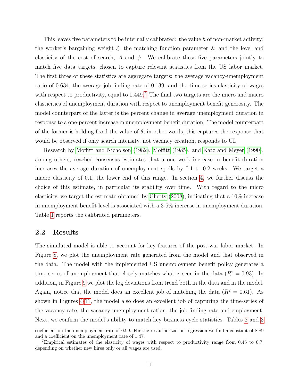This leaves five parameters to be internally calibrated: the value  $h$  of non-market activity; the worker's bargaining weight  $\xi$ ; the matching function parameter  $\lambda$ ; and the level and elasticity of the cost of search, A and  $\psi$ . We calibrate these five parameters jointly to match five data targets, chosen to capture relevant statistics from the US labor market. The first three of these statistics are aggregate targets: the average vacancy-unemployment ratio of 0.634, the average job-finding rate of 0.139, and the time-series elasticity of wages with respect to productivity, equal to  $0.449$ .<sup>[7](#page--1-0)</sup> The final two targets are the micro and macro elasticities of unemployment duration with respect to unemployment benefit generosity. The model counterpart of the latter is the percent change in average unemployment duration in response to a one-percent increase in unemployment benefit duration. The model counterpart of the former is holding fixed the value of  $\theta$ ; in other words, this captures the response that would be observed if only search intensity, not vacancy creation, responds to UI.

Research by [Moffitt and Nicholson \(1982\)](#page-28-11), [Moffitt \(1985\)](#page-28-12), and [Katz and Meyer \(1990\)](#page-27-9), among others, reached consensus estimates that a one week increase in benefit duration increases the average duration of unemployment spells by 0.1 to 0.2 weeks. We target a macro elasticity of 0.1, the lower end of this range. In section [4,](#page-23-0) we further discuss the choice of this estimate, in particular its stability over time. With regard to the micro elasticity, we target the estimate obtained by [Chetty \(2008\)](#page-26-12), indicating that a 10% increase in unemployment benefit level is associated with a 3-5% increase in unemployment duration. Table [1](#page-40-1) reports the calibrated parameters.

### 2.2 Results

The simulated model is able to account for key features of the post-war labor market. In Figure [8,](#page-50-0) we plot the unemployment rate generated from the model and that observed in the data. The model with the implemented US unemployment benefit policy generates a time series of unemployment that closely matches what is seen in the data  $(R^2 = 0.93)$ . In addition, in Figure [9](#page-51-0) we plot the log deviations from trend both in the data and in the model. Again, notice that the model does an excellent job of matching the data  $(R^2 = 0.61)$ . As shown in Figures [4-](#page-46-0)[11,](#page-53-0) the model also does an excellent job of capturing the time-series of the vacancy rate, the vacancy-unemployment ration, the job-finding rate and employment. Next, we confirm the model's ability to match key business cycle statistics. Tables [2](#page-41-0) and [3](#page-41-1)

coefficient on the unemployment rate of 0.99. For the re-authorization regression we find a constant of 8.89 and a coefficient on the unemployment rate of 1.47.

<sup>7</sup>Empirical estimates of the elasticity of wages with respect to productivity range from 0.45 to 0.7, depending on whether new hires only or all wages are used.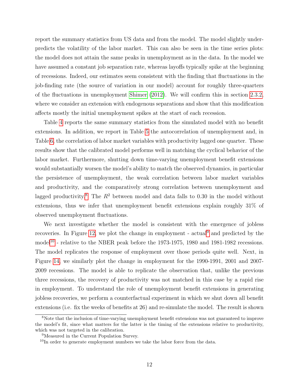report the summary statistics from US data and from the model. The model slightly underpredicts the volatility of the labor market. This can also be seen in the time series plots: the model does not attain the same peaks in unemployment as in the data. In the model we have assumed a constant job separation rate, whereas layoffs typically spike at the beginning of recessions. Indeed, our estimates seem consistent with the finding that fluctuations in the job-finding rate (the source of variation in our model) account for roughly three-quarters of the fluctuations in unemployment [Shimer \(2012\)](#page-28-13). We will confirm this in section [2.3.2,](#page-15-0) where we consider an extension with endogenous separations and show that this modification affects mostly the initial unemployment spikes at the start of each recession.

Table [4](#page-41-2) reports the same summary statistics from the simulated model with no benefit extensions. In addition, we report in Table [5](#page-42-0) the autocorrelation of unemployment and, in Table [6,](#page-42-1) the correlation of labor market variables with productivity lagged one quarter. These results show that the calibrated model performs well in matching the cyclical behavior of the labor market. Furthermore, shutting down time-varying unemployment benefit extensions would substantially worsen the model's ability to match the observed dynamics, in particular the persistence of unemployment, the weak correlation between labor market variables and productivity, and the comparatively strong correlation between unemployment and lagged productivity.<sup>[8](#page--1-0)</sup> The  $R^2$  between model and data falls to 0.30 in the model without extensions, thus we infer that unemployment benefit extensions explain roughly 31% of observed unemployment fluctuations.

We next investigate whether the model is consistent with the emergence of jobless recoveries. In Figure [12,](#page-54-0) we plot the change in employment - actual<sup>[9](#page--1-0)</sup> and predicted by the model<sup>[10](#page--1-0)</sup> - relative to the NBER peak before the 1973-1975, 1980 and 1981-1982 recessions. The model replicates the response of employment over those periods quite well. Next, in Figure [14,](#page-56-0) we similarly plot the change in employment for the 1990-1991, 2001 and 2007- 2009 recessions. The model is able to replicate the observation that, unlike the previous three recessions, the recovery of productivity was not matched in this case by a rapid rise in employment. To understand the role of unemployment benefit extensions in generating jobless recoveries, we perform a counterfactual experiment in which we shut down all benefit extensions (i.e. fix the weeks of benefits at 26) and re-simulate the model. The result is shown

<sup>&</sup>lt;sup>8</sup>Note that the inclusion of time-varying unemployment benefit extensions was not guaranteed to improve the model's fit, since what matters for the latter is the timing of the extensions relative to productivity, which was not targeted in the calibration.

<sup>9</sup>Measured in the Current Population Survey.

<sup>&</sup>lt;sup>10</sup>In order to generate employment numbers we take the labor force from the data.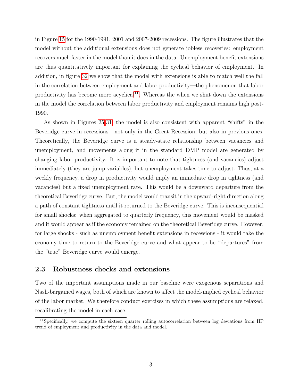in Figure [15](#page-57-0) for the 1990-1991, 2001 and 2007-2009 recessions. The figure illustrates that the model without the additional extensions does not generate jobless recoveries: employment recovers much faster in the model than it does in the data. Unemployment benefit extensions are thus quantitatively important for explaining the cyclical behavior of employment. In addition, in figure [32](#page-74-0) we show that the model with extensions is able to match well the fall in the correlation between employment and labor productivity—the phenomenon that labor productivity has become more acyclical<sup>[11](#page--1-0)</sup>. Whereas the when we shut down the extensions in the model the correlation between labor productivity and employment remains high post-1990.

As shown in Figures [25](#page-67-0)[-31,](#page-73-0) the model is also consistent with apparent "shifts" in the Beveridge curve in recessions - not only in the Great Recession, but also in previous ones. Theoretically, the Beveridge curve is a steady-state relationship between vacancies and unemployment, and movements along it in the standard DMP model are generated by changing labor productivity. It is important to note that tightness (and vacancies) adjust immediately (they are jump variables), but unemployment takes time to adjust. Thus, at a weekly frequency, a drop in productivity would imply an immediate drop in tightness (and vacancies) but a fixed unemployment rate. This would be a downward departure from the theoretical Beveridge curve. But, the model would transit in the upward-right direction along a path of constant tightness until it returned to the Beveridge curve. This is inconsequential for small shocks: when aggregated to quarterly frequency, this movement would be masked and it would appear as if the economy remained on the theoretical Beveridge curve. However, for large shocks - such as unemployment benefit extensions in recessions - it would take the economy time to return to the Beveridge curve and what appear to be "departures" from the "true" Beveridge curve would emerge.

### 2.3 Robustness checks and extensions

Two of the important assumptions made in our baseline were exogenous separations and Nash-bargained wages, both of which are known to affect the model-implied cyclical behavior of the labor market. We therefore conduct exercises in which these assumptions are relaxed, recalibrating the model in each case.

<sup>&</sup>lt;sup>11</sup>Specifically, we compute the sixteen quarter rolling autocorrelation between log deviations from HP trend of employment and productivity in the data and model.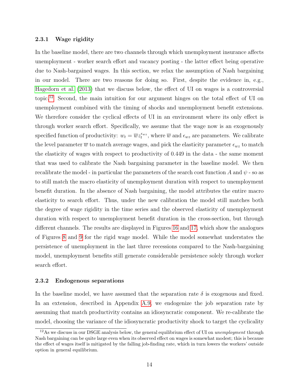#### 2.3.1 Wage rigidity

In the baseline model, there are two channels through which unemployment insurance affects unemployment - worker search effort and vacancy posting - the latter effect being operative due to Nash-bargained wages. In this section, we relax the assumption of Nash bargaining in our model. There are two reasons for doing so. First, despite the evidence in, e.g., [Hagedorn et al. \(2013\)](#page-26-13) that we discuss below, the effect of UI on wages is a controversial topic.[12](#page--1-0) Second, the main intuition for our argument hinges on the total effect of UI on unemployment combined with the timing of shocks and unemployment benefit extensions. We therefore consider the cyclical effects of UI in an environment where its only effect is through worker search effort. Specifically, we assume that the wage now is an exogenously specified function of productivity:  $w_t = \overline{w} z_t^{\epsilon_{wz}}$ , where  $\overline{w}$  and  $\epsilon_{wz}$  are parameters. We calibrate the level parameter  $\overline{w}$  to match average wages, and pick the elasticity parameter  $\epsilon_{wz}$  to match the elasticity of wages with respect to productivity of 0.449 in the data - the same moment that was used to calibrate the Nash bargaining parameter in the baseline model. We then recalibrate the model - in particular the parameters of the search cost function A and  $\psi$  - so as to still match the macro elasticity of unemployment duration with respect to unemployment benefit duration. In the absence of Nash bargaining, the model attributes the entire macro elasticity to search effort. Thus, under the new calibration the model still matches both the degree of wage rigidity in the time series and the observed elasticity of unemployment duration with respect to unemployment benefit duration in the cross-section, but through different channels. The results are displayed in Figures [16](#page-58-0) and [17,](#page-59-0) which show the analogues of Figures [8](#page-50-0) and [9](#page-51-0) for the rigid wage model. While the model somewhat understates the persistence of unemployment in the last three recessions compared to the Nash-bargaining model, unemployment benefits still generate considerable persistence solely through worker search effort.

#### <span id="page-15-0"></span>2.3.2 Endogenous separations

In the baseline model, we have assumed that the separation rate  $\delta$  is exogenous and fixed. In an extension, described in Appendix [A.9,](#page-34-0) we endogenize the job separation rate by assuming that match productivity contains an idiosyncratic component. We re-calibrate the model, choosing the variance of the idiosyncratic productivity shock to target the cyclicality

 $12\text{As}$  we discuss in our DSGE analysis below, the general equilibrium effect of UI on unemployment through Nash bargaining can be quite large even when its observed effect on wages is somewhat modest; this is because the effect of wages itself is mitigated by the falling job-finding rate, which in turn lowers the workers' outside option in general equilibrium.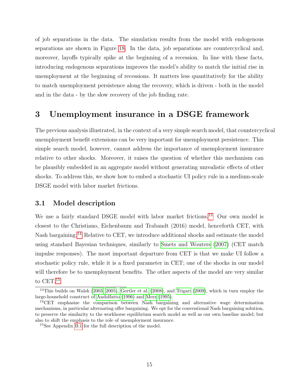of job separations in the data. The simulation results from the model with endogenous separations are shown in Figure [18.](#page-60-0) In the data, job separations are countercyclical and, moreover, layoffs typically spike at the beginning of a recession. In line with these facts, introducing endogenous separations improves the model's ability to match the initial rise in unemployment at the beginning of recessions. It matters less quantitatively for the ability to match unemployment persistence along the recovery, which is driven - both in the model and in the data - by the slow recovery of the job finding rate.

# <span id="page-16-0"></span>3 Unemployment insurance in a DSGE framework

The previous analysis illustrated, in the context of a very simple search model, that countercyclical unemployment benefit extensions can be very important for unemployment persistence. This simple search model, however, cannot address the importance of unemployment insurance relative to other shocks. Moreover, it raises the question of whether this mechanism can be plausibly embedded in an aggregate model without generating unrealistic effects of other shocks. To address this, we show how to embed a stochastic UI policy rule in a medium-scale DSGE model with labor market frictions.

### 3.1 Model description

We use a fairly standard DSGE model with labor market frictions.<sup>[13](#page--1-0)</sup> Our own model is closest to the Christiano, Eichenbaum and Trabandt (2016) model, henceforth CET, with Nash bargaining.<sup>[14](#page--1-0)</sup> Relative to CET, we introduce additional shocks and estimate the model using standard Bayesian techniques, similarly to [Smets and Wouters \(2007\)](#page-28-4) (CET match impulse responses). The most important departure from CET is that we make UI follow a stochastic policy rule, while it is a fixed parameter in CET; one of the shocks in our model will therefore be to unemployment benefits. The other aspects of the model are very similar to CET.<sup>[15](#page--1-0)</sup>

<sup>&</sup>lt;sup>13</sup>This builds on Walsh [\(2003,](#page-28-5) [2005\)](#page-28-6), [Gertler et al.](#page-26-3) [\(2008\)](#page-26-3), and [Trigari](#page-28-7) [\(2009\)](#page-28-7), which in turn employ the large-household construct of [Andolfatto](#page-25-0) [\(1996\)](#page-25-0) and [Merz](#page-27-10) [\(1995\)](#page-27-10).

 $14$ CET emphasize the comparison between Nash bargaining and alternative wage determination mechanisms, in particular alternating offer bargaining. We opt for the conventional Nash bargaining solution, to preserve the similarity to the workhorse equilibrium search model as well as our own baseline model; but also to shift the emphasis to the role of unemployment insurance.

<sup>15</sup>See Appendix [B.1](#page-35-1) for the full description of the model.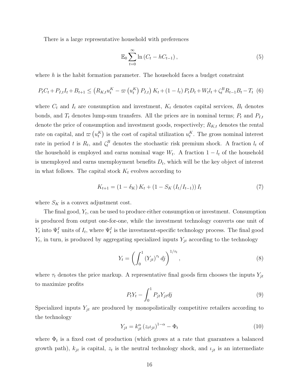There is a large representative household with preferences

$$
\mathbb{E}_0 \sum_{t=0}^{\infty} \ln \left( C_t - h C_{t-1} \right),\tag{5}
$$

where  $h$  is the habit formation parameter. The household faces a budget constraint

$$
P_{t}C_{t} + P_{I,t}I_{t} + B_{t+1} \leq (R_{K,t}u_{t}^{K} - \varpi(u_{t}^{K}) P_{I,t}) K_{t} + (1 - l_{t}) P_{t}D_{t} + W_{t}l_{t} + \zeta_{t}^{B}R_{t-1}B_{t} - T_{t} (6)
$$

where  $C_t$  and  $I_t$  are consumption and investment,  $K_t$  denotes capital services,  $B_t$  denotes bonds, and  $T_t$  denotes lump-sum transfers. All the prices are in nominal terms;  $P_t$  and  $P_{I,t}$ denote the price of consumption and investment goods, respectively;  $R_{K,t}$  denotes the rental rate on capital, and  $\varpi(u_t^K)$  is the cost of capital utilization  $u_t^K$ . The gross nominal interest rate in period t is  $R_t$ , and  $\zeta_t^B$  denotes the stochastic risk premium shock. A fraction  $l_t$  of the household is employed and earns nominal wage  $W_t$ . A fraction  $1 - l_t$  of the household is unemployed and earns unemployment benefits  $D_t$ , which will be the key object of interest in what follows. The capital stock  $K_t$  evolves according to

$$
K_{t+1} = (1 - \delta_K) K_t + (1 - S_K (I_t / I_{t-1})) I_t
$$
\n(7)

where  $S_K$  is a convex adjustment cost.

The final good,  $Y_t$ , can be used to produce either consumption or investment. Consumption is produced from output one-for-one, while the investment technology converts one unit of  $Y_t$  into  $\Psi_t^I$  units of  $I_t$ , where  $\Psi_t^I$  is the investment-specific technology process. The final good  $Y_t$ , in turn, is produced by aggregating specialized inputs  $Y_{jt}$  according to the technology

$$
Y_t = \left(\int_0^1 \left(Y_{jt}\right)^{\tau_t} dj\right)^{1/\tau_t},\tag{8}
$$

where  $\tau_t$  denotes the price markup. A representative final goods firm chooses the inputs  $Y_{jt}$ to maximize profits

$$
P_t Y_t - \int_0^1 P_{jt} Y_{jt} dj \tag{9}
$$

Specialized inputs  $Y_{jt}$  are produced by monopolistically competitive retailers according to the technology

$$
Y_{jt} = k_{jt}^{\alpha} \left( z_t \iota_{jt} \right)^{1-\alpha} - \Phi_t \tag{10}
$$

where  $\Phi_t$  is a fixed cost of production (which grows at a rate that guarantees a balanced growth path),  $k_{jt}$  is capital,  $z_t$  is the neutral technology shock, and  $\iota_{jt}$  is an intermediate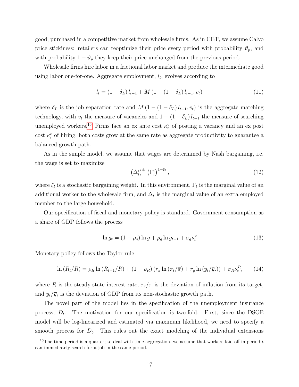good, purchased in a competitive market from wholesale firms. As in CET, we assume Calvo price stickiness: retailers can reoptimize their price every period with probability  $\vartheta_p$ , and with probability  $1 - \vartheta_p$  they keep their price unchanged from the previous period.

Wholesale firms hire labor in a frictional labor market and produce the intermediate good using labor one-for-one. Aggregate employment,  $l_t$ , evolves according to

$$
l_t = (1 - \delta_L) l_{t-1} + M (1 - (1 - \delta_L) l_{t-1}, v_t)
$$
\n(11)

where  $\delta_L$  is the job separation rate and  $M(1-(1-\delta_L)l_{t-1}, v_t)$  is the aggregate matching technology, with  $v_t$  the measure of vacancies and  $1 - (1 - \delta_L) l_{t-1}$  the measure of searching unemployed workers.<sup>[16](#page--1-0)</sup> Firms face an ex ante cost  $\kappa_t^v$  of posting a vacancy and an ex post cost  $\kappa_t^e$  of hiring; both costs grow at the same rate as aggregate productivity to guarantee a balanced growth path.

As in the simple model, we assume that wages are determined by Nash bargaining, i.e. the wage is set to maximize

$$
\left(\Delta_t^i\right)^{\xi_t} \left(\Gamma_t^i\right)^{1-\xi_t},\tag{12}
$$

where  $\xi_t$  is a stochastic bargaining weight. In this environment,  $\Gamma_t$  is the marginal value of an additional worker to the wholesale firm, and  $\Delta_t$  is the marginal value of an extra employed member to the large household.

Our specification of fiscal and monetary policy is standard. Government consumption as a share of GDP follows the process

$$
\ln g_t = (1 - \rho_g) \ln g + \rho_g \ln g_{t-1} + \sigma_g \nu_t^g \tag{13}
$$

Monetary policy follows the Taylor rule

$$
\ln (R_t/R) = \rho_R \ln (R_{t-1}/R) + (1 - \rho_R) (r_{\pi} \ln (\pi_t/\overline{\pi}) + r_y \ln (y_t/\overline{y}_t)) + \sigma_R \nu_t^R, \qquad (14)
$$

where R is the steady-state interest rate,  $\pi_t/\overline{\pi}$  is the deviation of inflation from its target, and  $y_t/\overline{y}_t$  is the deviation of GDP from its non-stochastic growth path.

The novel part of the model lies in the specification of the unemployment insurance process,  $D_t$ . The motivation for our specification is two-fold. First, since the DSGE model will be log-linearized and estimated via maximum likelihood, we need to specify a smooth process for  $D_t$ . This rules out the exact modeling of the individual extensions

<sup>&</sup>lt;sup>16</sup>The time period is a quarter; to deal with time aggregation, we assume that workers laid off in period  $t$ can immediately search for a job in the same period.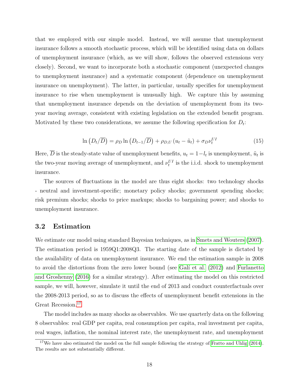that we employed with our simple model. Instead, we will assume that unemployment insurance follows a smooth stochastic process, which will be identified using data on dollars of unemployment insurance (which, as we will show, follows the observed extensions very closely). Second, we want to incorporate both a stochastic component (unexpected changes to unemployment insurance) and a systematic component (dependence on unemployment insurance on unemployment). The latter, in particular, usually specifies for unemployment insurance to rise when unemployment is unusually high. We capture this by assuming that unemployment insurance depends on the deviation of unemployment from its twoyear moving average, consistent with existing legislation on the extended benefit program. Motivated by these two considerations, we assume the following specification for  $D_t$ :

$$
\ln(D_t/\overline{D}) = \rho_D \ln(D_{t-1}/\overline{D}) + \rho_{D,U} (u_t - \tilde{u}_t) + \sigma_D \nu_t^{UI}
$$
\n(15)

Here, D is the steady-state value of unemployment benefits,  $u_t = 1 - l_t$  is unemployment,  $\tilde{u}_t$  is the two-year moving average of unemployment, and  $\nu_t^{UI}$  is the i.i.d. shock to unemployment insurance.

The sources of fluctuations in the model are thus eight shocks: two technology shocks - neutral and investment-specific; monetary policy shocks; government spending shocks; risk premium shocks; shocks to price markups; shocks to bargaining power; and shocks to unemployment insurance.

### 3.2 Estimation

We estimate our model using standard Bayesian techniques, as in [Smets and Wouters \(2007\)](#page-28-4). The estimation period is 1959Q1:2008Q3. The starting date of the sample is dictated by the availability of data on unemployment insurance. We end the estimation sample in 2008 to avoid the distortions from the zero lower bound (see Galí et al. (2012) and [Furlanetto](#page-26-4) [and Groshenny \(2016\)](#page-26-4) for a similar strategy). After estimating the model on this restricted sample, we will, however, simulate it until the end of 2013 and conduct counterfactuals over the 2008-2013 period, so as to discuss the effects of unemployment benefit extensions in the Great Recession.[17](#page--1-0)

The model includes as many shocks as observables. We use quarterly data on the following 8 observables: real GDP per capita, real consumption per capita, real investment per capita, real wages, inflation, the nominal interest rate, the unemployment rate, and unemployment

<sup>&</sup>lt;sup>17</sup>We have also estimated the model on the full sample following the strategy of [Fratto and Uhlig](#page-26-8)  $(2014)$ . The results are not substantially different.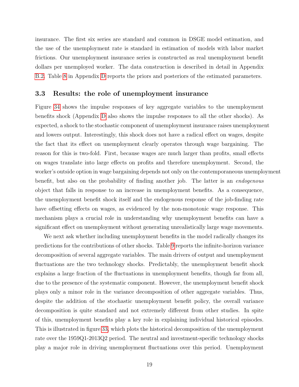insurance. The first six series are standard and common in DSGE model estimation, and the use of the unemployment rate is standard in estimation of models with labor market frictions. Our unemployment insurance series is constructed as real unemployment benefit dollars per unemployed worker. The data construction is described in detail in Appendix [B.2.](#page-38-0) Table [8](#page-76-0) in Appendix [D](#page-75-0) reports the priors and posteriors of the estimated parameters.

### 3.3 Results: the role of unemployment insurance

Figure [34](#page-79-0) shows the impulse responses of key aggregate variables to the unemployment benefits shock (Appendix [D](#page-75-0) also shows the impulse responses to all the other shocks). As expected, a shock to the stochastic component of unemployment insurance raises unemployment and lowers output. Interestingly, this shock does not have a radical effect on wages, despite the fact that its effect on unemployment clearly operates through wage bargaining. The reason for this is two-fold. First, because wages are much larger than profits, small effects on wages translate into large effects on profits and therefore unemployment. Second, the worker's outside option in wage bargaining depends not only on the contemporaneous unemployment benefit, but also on the probability of finding another job. The latter is an endogenous object that falls in response to an increase in unemployment benefits. As a consequence, the unemployment benefit shock itself and the endogenous response of the job-finding rate have offsetting effects on wages, as evidenced by the non-monotonic wage response. This mechanism plays a crucial role in understanding why unemployment benefits can have a significant effect on unemployment without generating unrealistically large wage movements.

We next ask whether including unemployment benefits in the model radically changes its predictions for the contributions of other shocks. Table [9](#page-77-0) reports the infinite-horizon variance decomposition of several aggregate variables. The main drivers of output and unemployment fluctuations are the two technology shocks. Predictably, the unemployment benefit shock explains a large fraction of the fluctuations in unemployment benefits, though far from all, due to the presence of the systematic component. However, the unemployment benefit shock plays only a minor role in the variance decomposition of other aggregate variables. Thus, despite the addition of the stochastic unemployment benefit policy, the overall variance decomposition is quite standard and not extremely different from other studies. In spite of this, unemployment benefits play a key role in explaining individual historical episodes. This is illustrated in figure [33,](#page-78-0) which plots the historical decomposition of the unemployment rate over the 1959Q1-2013Q2 period. The neutral and investment-specific technology shocks play a major role in driving unemployment fluctuations over this period. Unemployment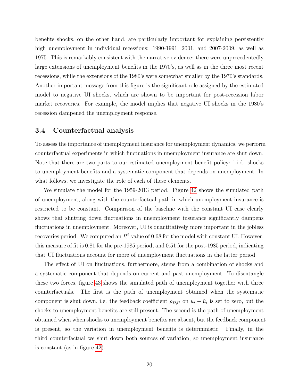benefits shocks, on the other hand, are particularly important for explaining persistently high unemployment in individual recessions: 1990-1991, 2001, and 2007-2009, as well as 1975. This is remarkably consistent with the narrative evidence: there were unprecedentedly large extensions of unemployment benefits in the 1970's, as well as in the three most recent recessions, while the extensions of the 1980's were somewhat smaller by the 1970's standards. Another important message from this figure is the significant role assigned by the estimated model to negative UI shocks, which are shown to be important for post-recession labor market recoveries. For example, the model implies that negative UI shocks in the 1980's recession dampened the unemployment response.

### 3.4 Counterfactual analysis

To assess the importance of unemployment insurance for unemployment dynamics, we perform counterfactual experiments in which fluctuations in unemployment insurance are shut down. Note that there are two parts to our estimated unemployment benefit policy: i.i.d. shocks to unemployment benefits and a systematic component that depends on unemployment. In what follows, we investigate the role of each of these elements.

We simulate the model for the 1959-2013 period. Figure [42](#page-87-0) shows the simulated path of unemployment, along with the counterfactual path in which unemployment insurance is restricted to be constant. Comparison of the baseline with the constant UI case clearly shows that shutting down fluctuations in unemployment insurance significantly dampens fluctuations in unemployment. Moreover, UI is quantitatively more important in the jobless recoveries period. We computed an  $R^2$  value of 0.68 for the model with constant UI. However, this measure of fit is 0.81 for the pre-1985 period, and 0.51 for the post-1985 period, indicating that UI fluctuations account for more of unemployment fluctuations in the latter period.

The effect of UI on fluctuations, furthermore, stems from a combination of shocks and a systematic component that depends on current and past unemployment. To disentangle these two forces, figure [43](#page-88-0) shows the simulated path of unemployment together with three counterfactuals. The first is the path of unemployment obtained when the systematic component is shut down, i.e. the feedback coefficient  $\rho_{D,U}$  on  $u_t - \tilde{u}_t$  is set to zero, but the shocks to unemployment benefits are still present. The second is the path of unemployment obtained when when shocks to unemployment benefits are absent, but the feedback component is present, so the variation in unemployment benefits is deterministic. Finally, in the third counterfactual we shut down both sources of variation, so unemployment insurance is constant (as in figure [42\)](#page-87-0).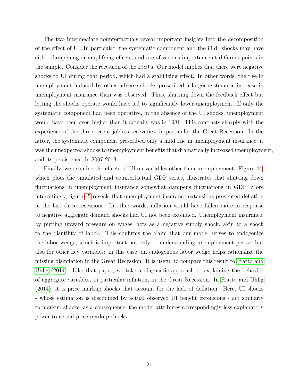The two intermediate counterfactuals reveal important insights into the decomposition of the effect of UI. In particular, the systematic component and the i.i.d. shocks may have either dampening or amplifying effects, and are of various importance at different points in the sample. Consider the recession of the 1980's. Our model implies that there were negative shocks to UI during that period, which had a stabilizing effect. In other words, the rise in unemployment induced by other adverse shocks prescribed a larger systematic increase in unemployment insurance than was observed. Thus, shutting down the feedback effect but letting the shocks operate would have led to significantly lower unemployment. If only the systematic component had been operative, in the absence of the UI shocks, unemployment would have been even higher than it actually was in 1981. This contrasts sharply with the experience of the three recent jobless recoveries, in particular the Great Recession. In the latter, the systematic component prescribed only a mild rise in unemployment insurance; it was the unexpected shocks to unemployment benefits that dramatically increased unemployment, and its persistence, in 2007-2013.

Finally, we examine the effects of UI on variables other than unemployment. Figure [44,](#page-89-0) which plots the simulated and counterfactual GDP series, illustrates that shutting down fluctuations in unemployment insurance somewhat dampens fluctuations in GDP. More interestingly, figure [45](#page-90-0) reveals that unemployment insurance extensions prevented deflation in the last three recessions. In other words, inflation would have fallen more in response to negative aggregate demand shocks had UI not been extended. Unemployment insurance, by putting upward pressure on wages, acts as a negative supply shock, akin to a shock to the disutility of labor. This confirms the claim that our model serves to endogenize the labor wedge, which is important not only to understanding unemployment per se, but also for other key variables: in this case, an endogenous labor wedge helps rationalize the missing disinflation in the Great Recession. It is useful to compare this result to [Fratto and](#page-26-8) [Uhlig \(2014\)](#page-26-8). Like that paper, we take a diagnostic approach to explaining the behavior of aggregate variables, in particular inflation, in the Great Recession. In [Fratto and Uhlig](#page-26-8) [\(2014\)](#page-26-8), it is price markup shocks that account for the lack of deflation. Here, UI shocks - whose estimation is disciplined by actual observed UI benefit extensions - act similarly to markup shocks; as a consequence, the model attributes correspondingly less explanatory power to actual price markup shocks.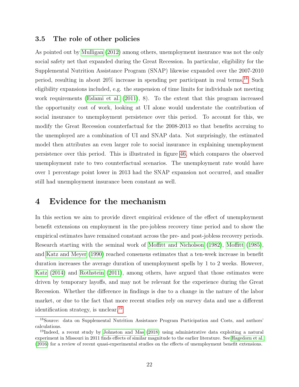### 3.5 The role of other policies

As pointed out by [Mulligan \(2012\)](#page-28-10) among others, unemployment insurance was not the only social safety net that expanded during the Great Recession. In particular, eligibility for the Supplemental Nutrition Assistance Program (SNAP) likewise expanded over the 2007-2010 period, resulting in about 20% increase in spending per participant in real terms.<sup>[18](#page--1-0)</sup> Such eligibility expansions included, e.g. the suspension of time limits for individuals not meeting work requirements [\(Eslami et al. \(2011\)](#page-26-15), 8). To the extent that this program increased the opportunity cost of work, looking at UI alone would understate the contribution of social insurance to unemployment persistence over this period. To account for this, we modify the Great Recession counterfactual for the 2008-2013 so that benefits accruing to the unemployed are a combination of UI and SNAP data. Not surprisingly, the estimated model then attributes an even larger role to social insurance in explaining unemployment persistence over this period. This is illustrated in figure [46,](#page-91-0) which compares the observed unemployment rate to two counterfactual scenarios. The unemployment rate would have over 1 percentage point lower in 2013 had the SNAP expansion not occurred, and smaller still had unemployment insurance been constant as well.

## <span id="page-23-0"></span>4 Evidence for the mechanism

In this section we aim to provide direct empirical evidence of the effect of unemployment benefit extensions on employment in the pre-jobless recovery time period and to show the empirical estimates have remained constant across the pre- and post-jobless recovery periods. Research starting with the seminal work of [Moffitt and Nicholson \(1982\)](#page-28-11), [Moffitt \(1985\)](#page-28-12), and [Katz and Meyer \(1990\)](#page-27-9) reached consensus estimates that a ten-week increase in benefit duration increases the average duration of unemployment spells by 1 to 2 weeks. However, [Katz \(2014\)](#page-27-11) and [Rothstein \(2011\)](#page-28-14), among others, have argued that those estimates were driven by temporary layoffs, and may not be relevant for the experience during the Great Recession. Whether the difference in findings is due to a change in the nature of the labor market, or due to the fact that more recent studies rely on survey data and use a different identification strategy, is unclear.[19](#page--1-0)

<sup>18</sup>Source: data on Supplemental Nutrition Assistance Program Participation and Costs, and authors' calculations.

<sup>&</sup>lt;sup>19</sup>Indeed, a recent study by [Johnston and Mas](#page-27-12) [\(2018\)](#page-27-12) using administrative data exploiting a natural experiment in Missouri in 2011 finds effects of similar magnitude to the earlier literature. See [Hagedorn et al.](#page-27-13) [\(2016\)](#page-27-13) for a review of recent quasi-experimental studies on the effects of unemployment benefit extensions.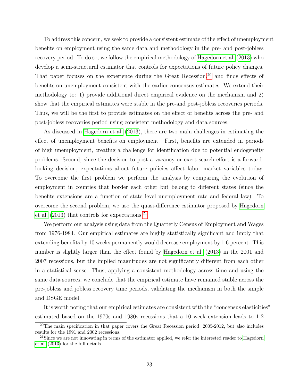To address this concern, we seek to provide a consistent estimate of the effect of unemployment benefits on employment using the same data and methodology in the pre- and post-jobless recovery period. To do so, we follow the empirical methodology of [Hagedorn et al. \(2013\)](#page-26-13) who develop a semi-structural estimator that controls for expectations of future policy changes. That paper focuses on the experience during the Great Recession,  $20$  and finds effects of benefits on unemployment consistent with the earlier concensus estimates. We extend their methodology to: 1) provide additional direct empirical evidence on the mechanism and 2) show that the empirical estimates were stable in the pre-and post-jobless recoveries periods. Thus, we will be the first to provide estimates on the effect of benefits across the pre- and post-jobless recoveries period using consistent methodology and data sources.

As discussed in [Hagedorn et al. \(2013\)](#page-26-13), there are two main challenges in estimating the effect of unemployment benefits on employment. First, benefits are extended in periods of high unemployment, creating a challenge for identification due to potential endogeneity problems. Second, since the decision to post a vacancy or exert search effort is a forwardlooking decision, expectations about future policies affect labor market variables today. To overcome the first problem we perform the analysis by comparing the evolution of employment in counties that border each other but belong to different states (since the benefits extensions are a function of state level unemployment rate and federal law). To overcome the second problem, we use the quasi-difference estimator proposed by [Hagedorn](#page-26-13) et al.  $(2013)$  that controls for expectations.<sup>[21](#page--1-0)</sup>

We perform our analysis using data from the Quarterly Census of Employment and Wages from 1976-1984. Our empirical estimates are highly statistically significant and imply that extending benefits by 10 weeks permanently would decrease employment by 1.6 percent. This number is slightly larger than the effect found by [Hagedorn et al. \(2013\)](#page-26-13) in the 2001 and 2007 recessions, but the implied magnitudes are not significantly different from each other in a statistical sense. Thus, applying a consistent methodology across time and using the same data sources, we conclude that the empirical estimate have remained stable across the pre-jobless and jobless recovery time periods, validating the mechanism in both the simple and DSGE model.

It is worth noting that our empirical estimates are consistent with the "concensus elasticities" estimated based on the 1970s and 1980s recessions that a 10 week extension leads to 1-2

<sup>20</sup>The main specification in that paper covers the Great Recession period, 2005-2012, but also includes results for the 1991 and 2002 recessions.

 $^{21}$ Since we are not innovating in terms of the estimator applied, we refer the interested reader to [Hagedorn](#page-26-13) [et al.](#page-26-13) [\(2013\)](#page-26-13) for the full details.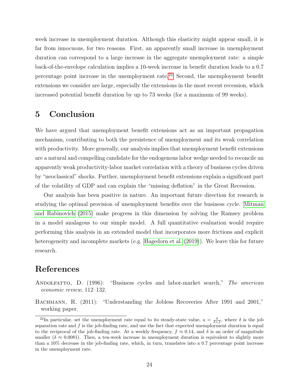week increase in unemployment duration. Although this elasticity might appear small, it is far from innocuous, for two reasons. First, an apparently small increase in unemployment duration can correspond to a large increase in the aggregate unemployment rate: a simple back-of-the-envelope calculation implies a 10-week increase in benefit duration leads to a 0.7 percentage point increase in the unemployment rate.<sup>[22](#page--1-0)</sup> Second, the unemployment benefit extensions we consider are large, especially the extensions in the most recent recession, which increased potential benefit duration by up to 73 weeks (for a maximum of 99 weeks).

# <span id="page-25-2"></span>5 Conclusion

We have argued that unemployment benefit extensions act as an important propagation mechanism, contributing to both the persistence of unemployment and its weak correlation with productivity. More generally, our analysis implies that unemployment benefit extensions are a natural and compelling candidate for the endogenous labor wedge needed to reconcile an apparently weak productivity-labor market correlation with a theory of business cycles driven by "neoclassical" shocks. Further, unemployment benefit extensions explain a significant part of the volatility of GDP and can explain the "missing deflation" in the Great Recession.

Our analysis has been positive in nature. An important future direction for research is studying the optimal provision of unemployment benefits over the business cycle. [Mitman](#page-27-14) [and Rabinovich \(2015\)](#page-27-14) make progress in this dimension by solving the Ramsey problem in a model analagous to our simple model. A full quantitative evaluation would require performing this analysis in an extended model that incorporates more frictions and explicit heterogeneity and incomplete markets (e.g. [Hagedorn et al. \(2019\)](#page-27-15)). We leave this for future research.

# References

<span id="page-25-0"></span>ANDOLFATTO, D. (1996): "Business cycles and labor-market search," The american economic review, 112–132.

<span id="page-25-1"></span>BACHMANN, R.  $(2011)$ : "Understanding the Jobless Recoveries After 1991 and 2001," working paper.

<sup>&</sup>lt;sup>22</sup>In particular, set the unemployment rate equal to its steady-state value,  $u = \frac{\delta}{\delta + f}$ , where  $\delta$  is the job separation rate and  $f$  is the job-finding rate, and use the fact that expected unemployment duration is equal to the reciprocal of the job-finding rate. At a weekly frequency,  $f \approx 0.14$ , and  $\delta$  is an order of magnitude smaller ( $\delta \approx 0.0081$ ). Then, a ten-week increase in unemployment duration is equivalent to slightly more than a 10% decrease in the job-finding rate, which, in turn, translates into a 0.7 percentage point increase in the unemployment rate.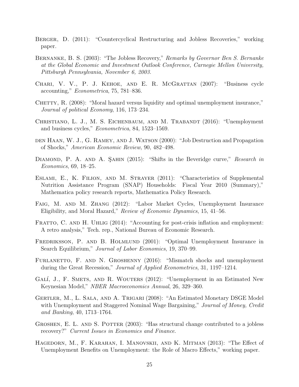- <span id="page-26-7"></span>Berger, D. (2011): "Countercyclical Restructuring and Jobless Recoveries," working paper.
- <span id="page-26-5"></span>Bernanke, B. S. (2003): "The Jobless Recovery," Remarks by Governor Ben S. Bernanke at the Global Economic and Investment Outlook Conference, Carnegie Mellon University, Pittsburgh Pennsylvania, November 6, 2003.
- <span id="page-26-0"></span>Chari, V. V., P. J. Kehoe, and E. R. McGrattan (2007): "Business cycle accounting," Econometrica, 75, 781–836.
- <span id="page-26-12"></span>CHETTY, R. (2008): "Moral hazard versus liquidity and optimal unemployment insurance," Journal of political Economy, 116, 173–234.
- <span id="page-26-1"></span>CHRISTIANO, L. J., M. S. EICHENBAUM, AND M. TRABANDT (2016): "Unemployment and business cycles," Econometrica, 84, 1523–1569.
- <span id="page-26-11"></span>den Haan, W. J., G. Ramey, and J. Watson (2000): "Job Destruction and Propagation of Shocks," American Economic Review, 90, 482–498.
- <span id="page-26-2"></span>DIAMOND, P. A. AND A. ŞAHIN (2015): "Shifts in the Beveridge curve," Research in Economics, 69, 18–25.
- <span id="page-26-15"></span>Eslami, E., K. Filion, and M. Strayer (2011): "Characteristics of Supplemental Nutrition Assistance Program (SNAP) Households: Fiscal Year 2010 (Summary)," Mathematica policy research reports, Mathematica Policy Research.
- <span id="page-26-10"></span>FAIG, M. AND M. ZHANG (2012): "Labor Market Cycles, Unemployment Insurance Eligibility, and Moral Hazard," Review of Economic Dynamics, 15, 41–56.
- <span id="page-26-8"></span>FRATTO, C. AND H. UHLIG (2014): "Accounting for post-crisis inflation and employment: A retro analysis," Tech. rep., National Bureau of Economic Research.
- <span id="page-26-9"></span>FREDRIKSSON, P. AND B. HOLMLUND (2001): "Optimal Unemployment Insurance in Search Equilibrium," Journal of Labor Economics, 19, 370–99.
- <span id="page-26-4"></span>FURLANETTO, F. AND N. GROSHENNY (2016): "Mismatch shocks and unemployment during the Great Recession," Journal of Applied Econometrics, 31, 1197–1214.
- <span id="page-26-14"></span>GALÍ, J., F. SMETS, AND R. WOUTERS (2012): "Unemployment in an Estimated New Keynesian Model," NBER Macroeconomics Annual, 26, 329–360.
- <span id="page-26-3"></span>Gertler, M., L. Sala, and A. Trigari (2008): "An Estimated Monetary DSGE Model with Unemployment and Staggered Nominal Wage Bargaining," Journal of Money, Credit and Banking, 40, 1713–1764.
- <span id="page-26-6"></span>GROSHEN, E. L. AND S. POTTER (2003): "Has structural change contributed to a jobless recovery?" Current Issues in Economics and Finance.
- <span id="page-26-13"></span>HAGEDORN, M., F. KARAHAN, I. MANOVSKII, AND K. MITMAN (2013): "The Effect of Unemployment Benefits on Unemployment: the Role of Macro Effects," working paper.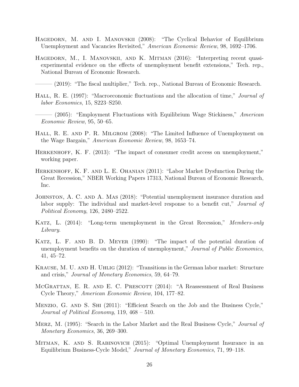- <span id="page-27-4"></span>Hagedorn, M. and I. Manovskii (2008): "The Cyclical Behavior of Equilibrium Unemployment and Vacancies Revisited," American Economic Review, 98, 1692–1706.
- <span id="page-27-13"></span>HAGEDORN, M., I. MANOVSKII, AND K. MITMAN (2016): "Interpreting recent quasiexperimental evidence on the effects of unemployment benefit extensions," Tech. rep., National Bureau of Economic Research.
- <span id="page-27-15"></span> $(2019)$ : "The fiscal multiplier," Tech. rep., National Bureau of Economic Research.
- <span id="page-27-0"></span>HALL, R. E. (1997): "Macroeconomic fluctuations and the allocation of time," *Journal of* labor Economics, 15, S223–S250.
- <span id="page-27-3"></span> $-$  (2005): "Employment Fluctuations with Equilibrium Wage Stickiness," American Economic Review, 95, 50–65.
- <span id="page-27-8"></span>HALL, R. E. AND P. R. MILGROM (2008): "The Limited Influence of Unemployment on the Wage Bargain," American Economic Review, 98, 1653–74.
- <span id="page-27-2"></span>Herkenhoff, K. F. (2013): "The impact of consumer credit access on unemployment," working paper.
- <span id="page-27-6"></span>Herkenhoff, K. F. and L. E. Ohanian (2011): "Labor Market Dysfunction During the Great Recession," NBER Working Papers 17313, National Bureau of Economic Research, Inc.
- <span id="page-27-12"></span>JOHNSTON, A. C. AND A. MAS (2018): "Potential unemployment insurance duration and labor supply: The individual and market-level response to a benefit cut," *Journal of* Political Economy, 126, 2480–2522.
- <span id="page-27-11"></span>KATZ, L. (2014): "Long-term unemployment in the Great Recession," Members-only Library.
- <span id="page-27-9"></span>Katz, L. F. and B. D. Meyer (1990): "The impact of the potential duration of unemployment benefits on the duration of unemployment," Journal of Public Economics, 41, 45–72.
- <span id="page-27-7"></span>Krause, M. U. and H. Uhlig (2012): "Transitions in the German labor market: Structure and crisis," Journal of Monetary Economics, 59, 64–79.
- <span id="page-27-1"></span>MCGRATTAN, E. R. AND E. C. PRESCOTT (2014): "A Reassessment of Real Business Cycle Theory," American Economic Review, 104, 177–82.
- <span id="page-27-5"></span>Menzio, G. and S. Shi (2011): "Efficient Search on the Job and the Business Cycle," Journal of Political Economy, 119, 468 – 510.
- <span id="page-27-10"></span>Merz, M. (1995): "Search in the Labor Market and the Real Business Cycle," Journal of Monetary Economics, 36, 269–300.
- <span id="page-27-14"></span>Mitman, K. and S. Rabinovich (2015): "Optimal Unemployment Insurance in an Equilibrium Business-Cycle Model," Journal of Monetary Economics, 71, 99–118.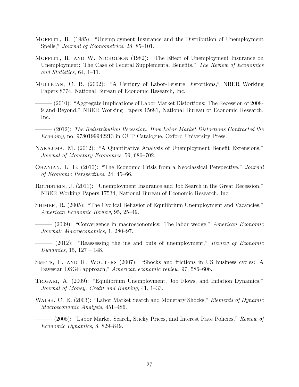- <span id="page-28-12"></span>MOFFITT, R. (1985): "Unemployment Insurance and the Distribution of Unemployment Spells," Journal of Econometrics, 28, 85–101.
- <span id="page-28-11"></span>Moffitt, R. and W. Nicholson (1982): "The Effect of Unemployment Insurance on Unemployment: The Case of Federal Supplemental Benefits," The Review of Economics and Statistics, 64, 1–11.
- <span id="page-28-9"></span><span id="page-28-8"></span>Mulligan, C. B. (2002): "A Century of Labor-Leisure Distortions," NBER Working Papers 8774, National Bureau of Economic Research, Inc.
	- ——— (2010): "Aggregate Implications of Labor Market Distortions: The Recession of 2008- 9 and Beyond," NBER Working Papers 15681, National Bureau of Economic Research, Inc.
- <span id="page-28-10"></span> $-$  (2012): The Redistribution Recession: How Labor Market Distortions Contracted the Economy, no. 9780199942213 in OUP Catalogue, Oxford University Press.
- <span id="page-28-3"></span>Nakajima, M. (2012): "A Quantitative Analysis of Unemployment Benefit Extensions," Journal of Monetary Economics, 59, 686–702.
- <span id="page-28-2"></span>Ohanian, L. E. (2010): "The Economic Crisis from a Neoclassical Perspective," Journal of Economic Perspectives, 24, 45–66.
- <span id="page-28-14"></span>ROTHSTEIN, J. (2011): "Unemployment Insurance and Job Search in the Great Recession," NBER Working Papers 17534, National Bureau of Economic Research, Inc.
- <span id="page-28-0"></span>SHIMER, R. (2005): "The Cyclical Behavior of Equilibrium Unemployment and Vacancies," American Economic Review, 95, 25–49.
- <span id="page-28-1"></span> $-$  (2009): "Convergence in macroeconomics: The labor wedge," *American Economic* Journal: Macroeconomics, 1, 280–97.
- <span id="page-28-13"></span> $-$  (2012): "Reassessing the ins and outs of unemployment," Review of Economic Dynamics, 15, 127 – 148.
- <span id="page-28-4"></span>Smets, F. and R. Wouters (2007): "Shocks and frictions in US business cycles: A Bayesian DSGE approach," American economic review, 97, 586–606.
- <span id="page-28-7"></span>Trigari, A. (2009): "Equilibrium Unemployment, Job Flows, and Inflation Dynamics," Journal of Money, Credit and Banking, 41, 1–33.
- <span id="page-28-6"></span><span id="page-28-5"></span>WALSH, C. E. (2003): "Labor Market Search and Monetary Shocks," *Elements of Dynamic* Macroeconomic Analysis, 451–486.
	- (2005): "Labor Market Search, Sticky Prices, and Interest Rate Policies," *Review of* Economic Dynamics, 8, 829–849.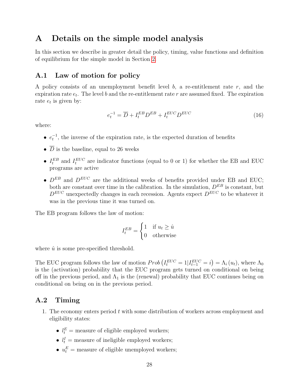## <span id="page-29-0"></span>A Details on the simple model analysis

In this section we describe in greater detail the policy, timing, value functions and definition of equilibrium for the simple model in Section [2.](#page-8-0)

### A.1 Law of motion for policy

A policy consists of an unemployment benefit level  $b$ , a re-entitlement rate  $r$ , and the expiration rate  $e_t$ . The level b and the re-entitlement rate r are assumed fixed. The expiration rate  $e_t$  is given by:

$$
e_t^{-1} = \overline{D} + I_t^{EB} D^{EB} + I_t^{EUC} D^{EUC}
$$
\n
$$
(16)
$$

where:

- $e_t^{-1}$ , the inverse of the expiration rate, is the expected duration of benefits
- $\overline{D}$  is the baseline, equal to 26 weeks
- $I_t^{EB}$  and  $I_t^{EUC}$  are indicator functions (equal to 0 or 1) for whether the EB and EUC programs are active
- $D^{EB}$  and  $D^{EUC}$  are the additional weeks of benefits provided under EB and EUC; both are constant over time in the calibration. In the simulation,  $D^{EB}$  is constant, but  $D^{EUC}$  unexpectedly changes in each recession. Agents expect  $D^{EUC}$  to be whatever it was in the previous time it was turned on.

The EB program follows the law of motion:

$$
I_t^{EB} = \begin{cases} 1 & \text{if } u_t \ge \hat{u} \\ 0 & \text{otherwise} \end{cases}
$$

where  $\hat{u}$  is some pre-specified threshold.

The EUC program follows the law of motion  $Prob(I_t^{EUC} = 1 | I_{t-1}^{EUC} = i) = \Lambda_i(u_t)$ , where  $\Lambda_0$ is the (activation) probability that the EUC program gets turned on conditional on being off in the previous period, and  $\Lambda_1$  is the (renewal) probability that EUC continues being on conditional on being on in the previous period.

### A.2 Timing

- 1. The economy enters period t with some distribution of workers across employment and eligibility states:
	- $l_t^E$  = measure of eligible employed workers;
	- $l_t^I$  = measure of ineligible employed workers;
	- $u_t^E$  = measure of eligible unemployed workers;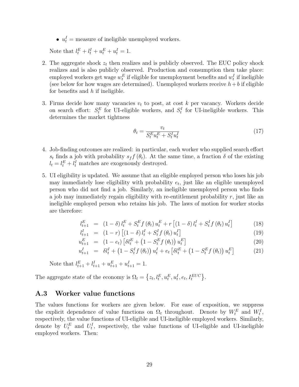•  $u_t^I$  = measure of ineligible unemployed workers.

Note that  $l_t^E + l_t^I + u_t^E + u_t^I = 1$ .

- 2. The aggregate shock  $z_t$  then realizes and is publicly observed. The EUC policy shock realizes and is also publicly observed. Production and consumption then take place: employed workers get wage  $w_t^E$  if eligible for unemployment benefits and  $w_t^I$  if ineligible (see below for how wages are determined). Unemployed workers receive  $h + b$  if eligible for benefits and  $h$  if ineligible.
- 3. Firms decide how many vacancies  $v_t$  to post, at cost k per vacancy. Workers decide on search effort:  $S_t^E$  for UI-eligible workers, and  $S_t^I$  for UI-ineligible workers. This determines the market tightness

$$
\theta_t = \frac{v_t}{S_t^E u_t^E + S_t^I u_t^I} \tag{17}
$$

- 4. Job-finding outcomes are realized: in particular, each worker who supplied search effort s<sub>t</sub> finds a job with probability s<sub>f</sub>  $f(\theta_t)$ . At the same time, a fraction  $\delta$  of the existing  $l_t = l_t^E + l_t^I$  matches are exogenously destroyed.
- 5. UI eligibility is updated. We assume that an eligible employed person who loses his job may immediately lose eligibility with probability  $e_t$ , just like an eligible unemployed person who did not find a job. Similarly, an ineligible unemployed person who finds a job may immediately regain eligibility with re-entitlement probability  $r$ , just like an ineligible employed person who retains his job. The laws of motion for worker stocks are therefore:

<span id="page-30-0"></span>
$$
l_{t+1}^{E} = (1 - \delta) l_t^{E} + S_t^{E} f(\theta_t) u_t^{E} + r [(1 - \delta) l_t^{I} + S_t^{I} f(\theta_t) u_t^{I}] \qquad (18)
$$

$$
l_{t+1}^I = (1-r) \left[ (1-\delta) l_t^I + S_t^I f(\theta_t) u_t^I \right]
$$
\n(19)

$$
u_{t+1}^{E} = (1 - e_t) \left[ \delta l_t^{E} + (1 - S_t^{E} f(\theta_t)) u_t^{E} \right]
$$
 (20)

$$
u_{t+1}^I = \delta l_t^I + (1 - S_t^I f(\theta_t)) u_t^I + e_t \left[ \delta l_t^E + (1 - S_t^E f(\theta_t)) u_t^E \right]
$$
 (21)

Note that  $l_{t+1}^E + l_{t+1}^I + u_{t+1}^E + u_{t+1}^I = 1$ .

The aggregate state of the economy is  $\Omega_t = \left\{ z_t, l_t^E, u_t^E, u_t^I, e_t, I_t^{EUC} \right\}$ .

### A.3 Worker value functions

The values functions for workers are given below. For ease of exposition, we suppress the explicit dependence of value functions on  $\Omega_t$  throughout. Denote by  $W_t^E$  and  $W_t^I$ , respectively, the value functions of UI-eligible and UI-ineligible employed workers. Similarly, denote by  $U_t^E$  and  $U_t^I$ , respectively, the value functions of UI-eligible and UI-ineligible employed workers. Then: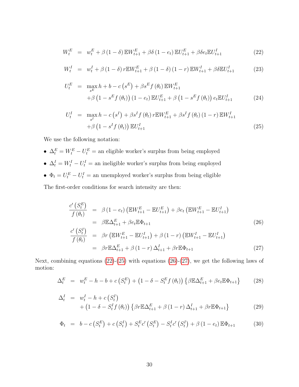<span id="page-31-0"></span>
$$
W_t^E = w_t^E + \beta (1 - \delta) \mathbb{E} W_{t+1}^E + \beta \delta (1 - e_t) \mathbb{E} U_{t+1}^E + \beta \delta e_t \mathbb{E} U_{t+1}^I
$$
 (22)

$$
W_t^I = w_t^I + \beta (1 - \delta) r E W_{t+1}^E + \beta (1 - \delta) (1 - r) E W_{t+1}^I + \beta \delta E U_{t+1}^I
$$
 (23)

$$
U_t^E = \max_{s^E} h + b - c\left(s^E\right) + \beta s^E f\left(\theta_t\right) \mathbb{E} W_{t+1}^E
$$
  
+  $\beta \left(1 - s^E f\left(\theta_t\right)\right) \left(1 - e_t\right) \mathbb{E} U_{t+1}^E + \beta \left(1 - s^E f\left(\theta_t\right)\right) e_t \mathbb{E} U_{t+1}^I$  (24)

$$
U_t^I = \max_{s^I} h - c\left(s^I\right) + \beta s^I f\left(\theta_t\right) r \mathbb{E} W_{t+1}^E + \beta s^I f\left(\theta_t\right) (1-r) \mathbb{E} W_{t+1}^I
$$
  
+  $\beta \left(1 - s^I f\left(\theta_t\right)\right) \mathbb{E} U_{t+1}^I$  (25)

We use the following notation:

- $\Delta_t^E = W_t^E U_t^E$  = an eligible worker's surplus from being employed
- $\Delta_t^I = W_t^I U_t^I$  = an ineligible worker's surplus from being employed
- $\Phi_t = U_t^E U_t^I$  = an unemployed worker's surplus from being eligible

The first-order conditions for search intensity are then:

<span id="page-31-1"></span>
$$
\frac{c'(S_t^E)}{f(\theta_t)} = \beta (1 - e_t) \left( \mathbb{E} W_{t+1}^E - \mathbb{E} U_{t+1}^E \right) + \beta e_t \left( \mathbb{E} W_{t+1}^E - \mathbb{E} U_{t+1}^I \right)
$$
\n
$$
= \beta \mathbb{E} \Delta_{t+1}^E + \beta e_t \mathbb{E} \Phi_{t+1}
$$
\n
$$
\frac{c'(S_t^I)}{f(\theta_t)} = \beta r \left( \mathbb{E} W_{t+1}^E - \mathbb{E} U_{t+1}^I \right) + \beta (1 - r) \left( \mathbb{E} W_{t+1}^I - \mathbb{E} U_{t+1}^I \right)
$$
\n
$$
= \beta r \mathbb{E} \Delta_{t+1}^E + \beta (1 - r) \Delta_{t+1}^I + \beta r \mathbb{E} \Phi_{t+1}
$$
\n(27)

Next, combining equations  $(22)-(25)$  $(22)-(25)$  with equations  $(26)-(27)$  $(26)-(27)$ , we get the following laws of motion:

<span id="page-31-2"></span>
$$
\Delta_t^E = w_t^E - h - b + c \left( S_t^E \right) + \left( 1 - \delta - S_t^E f \left( \theta_t \right) \right) \left\{ \beta \mathbb{E} \Delta_{t+1}^E + \beta e_t \mathbb{E} \Phi_{t+1} \right\} \tag{28}
$$

$$
\Delta_t^I = w_t^I - h + c \left( S_t^I \right) + \left( 1 - \delta - S_t^I f \left( \theta_t \right) \right) \left\{ \beta r \mathbb{E} \Delta_{t+1}^E + \beta \left( 1 - r \right) \Delta_{t+1}^I + \beta r \mathbb{E} \Phi_{t+1} \right\}
$$
(29)

$$
\Phi_t = b - c \left( S_t^E \right) + c \left( S_t^I \right) + S_t^E c' \left( S_t^E \right) - S_t^I c' \left( S_t^I \right) + \beta \left( 1 - e_t \right) \mathbb{E} \Phi_{t+1} \tag{30}
$$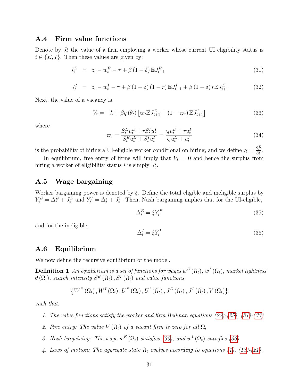### A.4 Firm value functions

Denote by  $J_t^i$  the value of a firm employing a worker whose current UI eligibility status is  $i \in \{E, I\}$ . Then these values are given by:

<span id="page-32-0"></span>
$$
J_t^E = z_t - w_t^E - \tau + \beta (1 - \delta) \mathbb{E} J_{t+1}^E
$$
 (31)

$$
J_t^I = z_t - w_t^I - \tau + \beta (1 - \delta) (1 - r) \mathbb{E} J_{t+1}^I + \beta (1 - \delta) r \mathbb{E} J_{t+1}^E
$$
 (32)

Next, the value of a vacancy is

<span id="page-32-1"></span>
$$
V_t = -k + \beta q(\theta_t) \left[ \varpi_t \mathbb{E} J_{t+1}^E + (1 - \varpi_t) \mathbb{E} J_{t+1}^I \right]
$$
 (33)

where

<span id="page-32-4"></span>
$$
\varpi_t = \frac{S_t^F u_t^E + r S_t^I u_t^I}{S_t^F u_t^E + S_t^I u_t^I} = \frac{\varsigma_t u_t^E + r u_t^I}{\varsigma_t u_t^E + u_t^I}
$$
\n(34)

is the probability of hiring a UI-eligible worker conditional on hiring, and we define  $\varsigma_t = \frac{S_t^E}{S_t^I}$ .

In equilibrium, free entry of firms will imply that  $V_t = 0$  and hence the surplus from hiring a worker of eligibility status *i* is simply  $J_t^i$ .

### A.5 Wage bargaining

Worker bargaining power is denoted by  $\xi$ . Define the total eligible and ineligible surplus by  $Y_t^E = \Delta_t^E + J_t^E$  and  $Y_t^I = \Delta_t^I + J_t^I$ . Then, Nash bargaining implies that for the UI-eligible,

<span id="page-32-2"></span>
$$
\Delta_t^E = \xi Y_t^E \tag{35}
$$

and for the ineligible,

<span id="page-32-3"></span>
$$
\Delta_t^I = \xi Y_t^I \tag{36}
$$

### A.6 Equilibrium

We now define the recursive equilibrium of the model.

**Definition 1** An equilibrium is a set of functions for wages  $w^E\left(\Omega_t\right)$ ,  $w^I\left(\Omega_t\right)$ , market tightness  $\theta\left(\Omega_{t}\right)$ , search intensity  $S^{E}\left(\Omega_{t}\right)$ ,  $S^{I}\left(\Omega_{t}\right)$  and value functions

$$
\left\{W^{E}\left(\Omega_{t}\right),W^{I}\left(\Omega_{t}\right),U^{E}\left(\Omega_{t}\right),U^{I}\left(\Omega_{t}\right),J^{E}\left(\Omega_{t}\right),J^{I}\left(\Omega_{t}\right),V\left(\Omega_{t}\right)\right\}
$$

such that:

- 1. The value functions satisfy the worker and firm Bellman equations [\(22\)](#page-31-0)-[\(25\)](#page-31-0), [\(31\)](#page-32-0)-[\(33\)](#page-32-1)
- 2. Free entry: The value  $V(\Omega_t)$  of a vacant firm is zero for all  $\Omega_t$
- 3. Nash bargaining: The wage  $w^E(\Omega_t)$  satisfies [\(35\)](#page-32-2), and  $w^I(\Omega_t)$  satisfies [\(36\)](#page-32-3)
- 4. Laws of motion: The aggregate state  $\Omega_t$  evolves according to equations [\(1\)](#page-9-0), [\(18\)](#page-30-0)-[\(21\)](#page-30-0).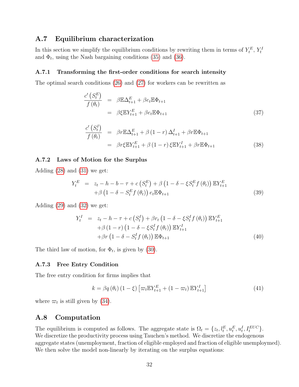### A.7 Equilibrium characterization

In this section we simplify the equilibrium conditions by rewriting them in terms of  $Y_t^E$ ,  $Y_t^I$ and  $\Phi_t$ , using the Nash bargaining conditions [\(35\)](#page-32-2) and [\(36\)](#page-32-3).

#### A.7.1 Transforming the first-order conditions for search intensity

The optimal search conditions [\(26\)](#page-31-1) and [\(27\)](#page-31-1) for workers can be rewritten as

<span id="page-33-0"></span>
$$
\frac{c'\left(S_t^E\right)}{f\left(\theta_t\right)} = \beta \mathbb{E}\Delta_{t+1}^E + \beta e_t \mathbb{E}\Phi_{t+1} \n= \beta \xi \mathbb{E}Y_{t+1}^E + \beta e_t \mathbb{E}\Phi_{t+1}
$$
\n(37)

$$
\frac{c'(S_t^I)}{f(\theta_t)} = \beta r \mathbb{E} \Delta_{t+1}^E + \beta (1-r) \Delta_{t+1}^I + \beta r \mathbb{E} \Phi_{t+1}
$$
  
=  $\beta r \xi \mathbb{E} Y_{t+1}^E + \beta (1-r) \xi \mathbb{E} Y_{t+1}^I + \beta r \mathbb{E} \Phi_{t+1}$  (38)

#### A.7.2 Laws of Motion for the Surplus

Adding [\(28\)](#page-31-2) and [\(31\)](#page-32-0) we get:

<span id="page-33-2"></span>
$$
Y_t^E = z_t - h - b - \tau + c \left( S_t^E \right) + \beta \left( 1 - \delta - \xi S_t^E f \left( \theta_t \right) \right) \mathbb{E} Y_{t+1}^E
$$
  
+ 
$$
\beta \left( 1 - \delta - S_t^E f \left( \theta_t \right) \right) e_t \mathbb{E} \Phi_{t+1}
$$
(39)

Adding [\(29\)](#page-31-2) and [\(32\)](#page-32-0) we get:

<span id="page-33-3"></span>
$$
Y_t^I = z_t - h - \tau + c \left( S_t^I \right) + \beta r_t \left( 1 - \delta - \xi S_t^I f \left( \theta_t \right) \right) \mathbb{E} Y_{t+1}^E
$$
  
+ 
$$
\beta \left( 1 - r \right) \left( 1 - \delta - \xi S_t^I f \left( \theta_t \right) \right) \mathbb{E} Y_{t+1}^I
$$
  
+ 
$$
\beta r \left( 1 - \delta - S_t^I f \left( \theta_t \right) \right) \mathbb{E} \Phi_{t+1}
$$
(40)

The third law of motion, for  $\Phi_t$ , is given by [\(30\)](#page-31-2).

#### A.7.3 Free Entry Condition

The free entry condition for firms implies that

<span id="page-33-1"></span>
$$
k = \beta q\left(\theta_t\right) \left(1 - \xi\right) \left[\varpi_t \mathbb{E} Y_{t+1}^E + \left(1 - \varpi_t\right) \mathbb{E} Y_{t+1}^I\right] \tag{41}
$$

where  $\varpi_t$  is still given by [\(34\)](#page-32-4).

### A.8 Computation

The equilibrium is computed as follows. The aggregate state is  $\Omega_t = \{z_t, l_t^E, u_t^E, u_t^I, I_t^{EUC}\}.$ We discretize the productivity process using Tauchen's method. We discretize the endogenous aggregate states (unemployment, fraction of eligible employed and fraction of eligible unemploymed). We then solve the model non-linearly by iterating on the surplus equations: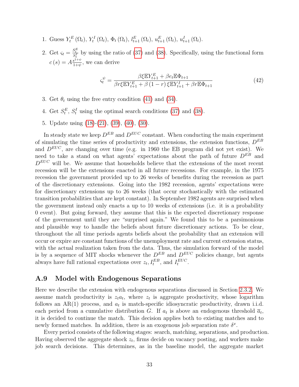- 1. Guess  $Y_t^E(\Omega_t)$ ,  $Y_t^I(\Omega_t)$ ,  $\Phi_t(\Omega_t)$ ,  $l_{t+1}^E(\Omega_t)$ ,  $u_{t+1}^E(\Omega_t)$ ,  $u_{t+1}^I(\Omega_t)$ .
- 2. Get  $\varsigma_t = \frac{S_t^E}{S_t^I}$  by using the ratio of [\(37\)](#page-33-0) and [\(38\)](#page-33-0). Specifically, using the functional form  $c(s) = A \frac{s^{1+\psi}}{1+b}$  $\frac{s^{1+\psi}}{1+\psi}$ , we can derive

$$
\varsigma_t^{\psi} = \frac{\beta \xi \mathbb{E} Y_{t+1}^E + \beta e_t \mathbb{E} \Phi_{t+1}}{\beta r \xi \mathbb{E} Y_{t+1}^E + \beta (1-r) \xi \mathbb{E} Y_{t+1}^I + \beta r \mathbb{E} \Phi_{t+1}}
$$
(42)

- 3. Get  $\theta_t$  using the free entry condition [\(41\)](#page-33-1) and [\(34\)](#page-32-4).
- 4. Get  $S_t^E$ ,  $S_t^I$  using the optimal search conditions [\(37\)](#page-33-0) and [\(38\)](#page-33-0).
- 5. Update using [\(18\)](#page-30-0)-[\(21\)](#page-30-0), [\(39\)](#page-33-2), [\(40\)](#page-33-3), [\(30\)](#page-31-2).

In steady state we keep  $D^{EB}$  and  $D^{EUC}$  constant. When conducting the main experiment of simulating the time series of productivity and extensions, the extension functions,  $D^{EB}$ and  $D^{EUC}$ , are changing over time (e.g. in 1960 the EB program did not yet exist). We need to take a stand on what agents' expectations about the path of future  $D^{EB}$  and  $D^{EUC}$  will be. We assume that households believe that the extensions of the most recent recession will be the extensions enacted in all future recessions. For example, in the 1975 recession the government provided up to 26 weeks of benefits during the recession as part of the discretionary extensions. Going into the 1982 recession, agents' expectations were for discretionary extensions up to 26 weeks (that occur stochastically with the estimated transition probabilities that are kept constant). In September 1982 agents are surprised when the government instead only enacts a up to 10 weeks of extensions (i.e. it is a probability 0 event). But going forward, they assume that this is the expected discretionary response of the government until they are "surprised again." We found this to be a parsimonious and plausible way to handle the beliefs about future discretionary actions. To be clear, throughout the all time periods agents beliefs about the probability that an extension will occur or expire are constant functions of the unemployment rate and current extension status, with the actual realization taken from the data. Thus, the simulation forward of the model is by a sequence of MIT shocks whenever the  $D^{EB}$  and  $D^{EUC}$  policies change, but agents always have full rational expectations over  $z_t, I_t^{EB}$ , and  $I_t^{EUC}$ .

### <span id="page-34-0"></span>A.9 Model with Endogenous Separations

Here we describe the extension with endogenous separations discussed in Section [2.3.2.](#page-15-0) We assume match productivity is  $z_t a_t$ , where  $z_t$  is aggregate productivity, whose logarithm follows an AR(1) process, and  $a_t$  is match-specific idiosyncratic productivity, drawn i.i.d. each period from a cumulative distribution G. If  $a_t$  is above an endogenous threshold  $\bar{a}_t$ , it is decided to continue the match. This decision applies both to existing matches and to newly formed matches. In addition, there is an exogenous job separation rate  $\delta^x$ .

Every period consists of the following stages: search, matching, separations, and production. Having observed the aggregate shock  $z_t$ , firms decide on vacancy posting, and workers make job search decisions. This determines, as in the baseline model, the aggregate market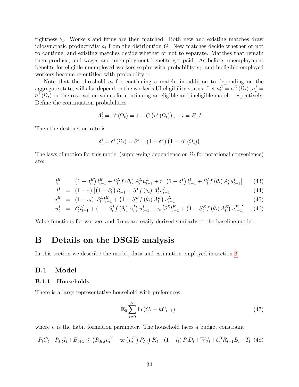tightness  $\theta_t$ . Workers and firms are then matched. Both new and existing matches draw idiosyncratic productivity  $a_t$  from the distribution G. New matches decide whether or not to continue, and existing matches decide whether or not to separate. Matches that remain then produce, and wages and unemployment benefits get paid. As before, unemployment benefits for eligible unemployed workers expire with probability  $e_t$ , and ineligible employed workers become re-entitled with probability r.

Note that the threshold  $\bar{a}_t$  for continuing a match, in addition to depending on the aggregate state, will also depend on the worker's UI eligibility status. Let  $\overline{a}_t^E = \overline{a}^E(\Omega_t)$ ,  $\overline{a}_t^I =$  $\overline{a}^{I}(\Omega_{t})$  be the reservation values for continuing an eligible and ineligible match, respectively. Define the continuation probabilities

$$
A_t^i = A^i \left( \Omega_t \right) = 1 - G \left( \overline{a}^i \left( \Omega_t \right) \right), \quad i = E, I
$$

Then the destruction rate is

$$
\delta_t^i = \delta^i (\Omega_t) = \delta^x + (1 - \delta^x) (1 - A^i (\Omega_t))
$$

The laws of motion for this model (suppressing dependence on  $\Omega_t$  for notational convenience) are:

$$
l_t^E = (1 - \delta_t^E) l_{t-1}^E + S_t^E f(\theta_t) A_t^E u_{t-1}^E + r [(1 - \delta_t^I) l_{t-1}^I + S_t^I f(\theta_t) A_t^I u_{t-1}^I] \tag{43}
$$

$$
l_t^I = (1 - r) \left[ \left( 1 - \delta_t^I \right) l_{t-1}^I + S_t^I f \left( \theta_t \right) A_t^I u_{t-1}^I \right]
$$
\n(44)

$$
u_t^E = (1 - e_t) \left[ \delta_t^E l_{t-1}^E + (1 - S_t^E f(\theta_t) A_t^E) u_{t-1}^E \right]
$$
\n(45)

$$
u_t^I = \delta_t^I l_{t-1}^I + (1 - S_t^I f(\theta_t) A_t^I) u_{t-1}^I + e_t \left[ \delta^E l_{t-1}^E + (1 - S_t^E f(\theta_t) A_t^E) u_{t-1}^E \right] \tag{46}
$$

Value functions for workers and firms are easily derived similarly to the baseline model.

## <span id="page-35-0"></span>B Details on the DSGE analysis

In this section we describe the model, data and estimation employed in section [3.](#page-16-0)

### <span id="page-35-1"></span>B.1 Model

#### B.1.1 Households

There is a large representative household with preferences

$$
\mathbb{E}_0 \sum_{t=0}^{\infty} \ln \left( C_t - h C_{t-1} \right), \tag{47}
$$

where  $h$  is the habit formation parameter. The household faces a budget constraint

$$
P_{t}C_{t} + P_{I,t}I_{t} + B_{t+1} \leq (R_{K,t}u_{t}^{K} - \varpi(u_{t}^{K}) P_{I,t}) K_{t} + (1 - l_{t}) P_{t}D_{t} + W_{t}l_{t} + \zeta_{t}^{B}R_{t-1}B_{t} - T_{t} (48)
$$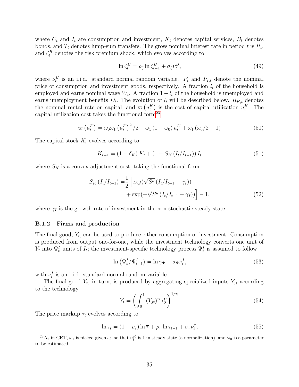where  $C_t$  and  $I_t$  are consumption and investment,  $K_t$  denotes capital services,  $B_t$  denotes bonds, and  $T_t$  denotes lump-sum transfers. The gross nominal interest rate in period t is  $R_t$ , and  $\zeta_t^B$  denotes the risk premium shock, which evolves according to

$$
\ln \zeta_t^B = \rho_\zeta \ln \zeta_{t-1}^B + \sigma_\zeta \nu_t^B,\tag{49}
$$

where  $\nu_t^B$  is an i.i.d. standard normal random variable.  $P_t$  and  $P_{I,t}$  denote the nominal price of consumption and investment goods, respectively. A fraction  $l_t$  of the household is employed and earns nominal wage  $W_t$ . A fraction  $1 - l_t$  of the household is unemployed and earns unemployment benefits  $D_t$ . The evolution of  $l_t$  will be described below.  $R_{K,t}$  denotes the nominal rental rate on capital, and  $\varpi(u_t^K)$  is the cost of capital utilization  $u_t^K$ . The capital utilization cost takes the functional form<sup>[23](#page--1-0)</sup>

$$
\varpi\left(u_t^K\right) = \omega_0 \omega_1 \left(u_t^K\right)^2 / 2 + \omega_1 \left(1 - \omega_0\right) u_t^K + \omega_1 \left(\omega_0 / 2 - 1\right) \tag{50}
$$

The capital stock  $K_t$  evolves according to

$$
K_{t+1} = (1 - \delta_K) K_t + (1 - S_K (I_t / I_{t-1})) I_t
$$
\n(51)

where  $S_K$  is a convex adjustment cost, taking the functional form

$$
S_K(I_t/I_{t-1}) = \frac{1}{2} \left[ \exp(\sqrt{S''}(I_t/I_{t-1} - \gamma_I)) + \exp(-\sqrt{S''}(I_t/I_{t-1} - \gamma_I)) \right] - 1,
$$
\n(52)

where  $\gamma_I$  is the growth rate of investment in the non-stochastic steady state.

#### B.1.2 Firms and production

The final good,  $Y_t$ , can be used to produce either consumption or investment. Consumption is produced from output one-for-one, while the investment technology converts one unit of  $Y_t$  into  $\Psi_t^I$  units of  $I_t$ ; the investment-specific technology process  $\Psi_t^I$  is assumed to follow

$$
\ln\left(\Psi_t^I/\Psi_{t-1}^I\right) = \ln \gamma_\Psi + \sigma_\Psi \nu_t^I,\tag{53}
$$

with  $\nu_t^I$  is an i.i.d. standard normal random variable.

The final good  $Y_t$ , in turn, is produced by aggregating specialized inputs  $Y_{jt}$  according to the technology

$$
Y_t = \left(\int_0^1 \left(Y_{jt}\right)^{\tau_t} dj\right)^{1/\tau_t} \tag{54}
$$

The price markup  $\tau_t$  evolves according to

$$
\ln \tau_t = (1 - \rho_\tau) \ln \overline{\tau} + \rho_\tau \ln \tau_{t-1} + \sigma_\tau \nu_t^\tau, \tag{55}
$$

<sup>&</sup>lt;sup>23</sup>As in CET,  $\omega_1$  is picked given  $\omega_0$  so that  $u_t^K$  is 1 in steady state (a normalization), and  $\omega_0$  is a parameter to be estimated.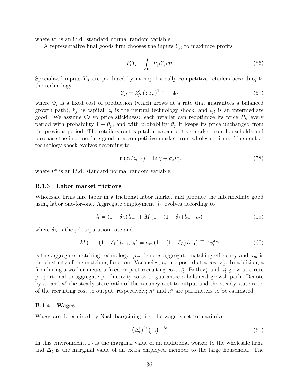where  $\nu_t^{\tau}$  is an i.i.d. standard normal random variable.

A representative final goods firm chooses the inputs  $Y_{jt}$  to maximize profits

$$
P_t Y_t - \int_0^1 P_{jt} Y_{jt} dj \tag{56}
$$

Specialized inputs  $Y_{jt}$  are produced by monopolistically competitive retailers according to the technology

$$
Y_{jt} = k_{jt}^{\alpha} \left( z_t \iota_{jt} \right)^{1-\alpha} - \Phi_t \tag{57}
$$

where  $\Phi_t$  is a fixed cost of production (which grows at a rate that guarantees a balanced growth path),  $k_{jt}$  is capital,  $z_t$  is the neutral technology shock, and  $\iota_{jt}$  is an intermediate good. We assume Calvo price stickiness: each retailer can reoptimize its price  $P_{jt}$  every period with probability  $1 - \vartheta_p$ , and with probability  $\vartheta_p$  it keeps its price unchanged from the previous period. The retailers rent capital in a competitive market from households and purchase the intermediate good in a competitive market from wholesale firms. The neutral technology shock evolves according to

$$
\ln(z_t/z_{t-1}) = \ln \gamma + \sigma_z \nu_t^z,\tag{58}
$$

where  $\nu_t^z$  is an i.i.d. standard normal random variable.

#### B.1.3 Labor market frictions

Wholesale firms hire labor in a frictional labor market and produce the intermediate good using labor one-for-one. Aggregate employment,  $l_t$ , evolves according to

$$
l_t = (1 - \delta_L) l_{t-1} + M (1 - (1 - \delta_L) l_{t-1}, v_t)
$$
\n(59)

where  $\delta_L$  is the job separation rate and

$$
M\left(1 - \left(1 - \delta_L\right)l_{t-1}, v_t\right) = \mu_m\left(1 - \left(1 - \delta_L\right)l_{t-1}\right)^{1 - \sigma_m} v_t^{\sigma_m} \tag{60}
$$

is the aggregate matching technology.  $\mu_m$  denotes aggregate matching efficiency and  $\sigma_m$  is the elasticity of the matching function. Vacancies,  $v_t$ , are posted at a cost  $\kappa_t^v$ . In addition, a firm hiring a worker incurs a fixed ex post recruiting cost  $\kappa_t^e$ . Both  $\kappa_t^v$  and  $\kappa_t^e$  grow at a rate proportional to aggregate productivity so as to guarantee a balanced growth path. Denote by  $\kappa^v$  and  $\kappa^e$  the steady-state ratio of the vacancy cost to output and the steady state ratio of the recruiting cost to output, respectively;  $\kappa^v$  and  $\kappa^e$  are parameters to be estimated.

#### B.1.4 Wages

Wages are determined by Nash bargaining, i.e. the wage is set to maximize

$$
\left(\Delta_t^i\right)^{\xi_t} \left(\Gamma_t^i\right)^{1-\xi_t} \tag{61}
$$

In this environment,  $\Gamma_t$  is the marginal value of an additional worker to the wholesale firm, and  $\Delta_t$  is the marginal value of an extra employed member to the large household. The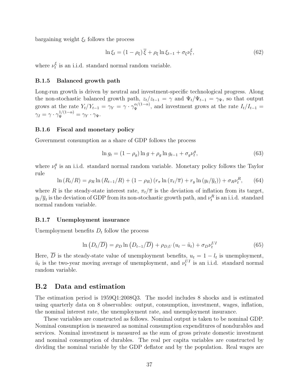bargaining weight  $\xi_t$  follows the process

$$
\ln \xi_t = (1 - \rho_{\xi}) \overline{\xi} + \rho_{\xi} \ln \xi_{t-1} + \sigma_{\xi} \nu_t^{\xi}, \tag{62}
$$

where  $\nu_t^{\xi}$  $t_i$  is an i.i.d. standard normal random variable.

#### B.1.5 Balanced growth path

Long-run growth is driven by neutral and investment-specific technological progress. Along the non-stochastic balanced growth path,  $z_t/z_{t-1} = \gamma$  and  $\Psi_t/\Psi_{t-1} = \gamma_{\Psi}$ , so that output grows at the rate  $Y_t/Y_{t-1} = \gamma_Y = \gamma \cdot \gamma_{\Psi}^{\alpha/(1-\alpha)}$ , and investment grows at the rate  $I_t/I_{t-1} =$  $\gamma_I = \gamma \cdot \gamma_\Psi^{1/(1-\alpha)} = \gamma_Y \cdot \gamma_\Psi.$ 

#### B.1.6 Fiscal and monetary policy

Government consumption as a share of GDP follows the process

$$
\ln g_t = (1 - \rho_g) \ln g + \rho_g \ln g_{t-1} + \sigma_g \nu_t^g,\tag{63}
$$

where  $\nu_t^g$  $t_i$  is an i.i.d. standard normal random variable. Monetary policy follows the Taylor rule

$$
\ln (R_t/R) = \rho_R \ln (R_{t-1}/R) + (1 - \rho_R) (r_{\pi} \ln (\pi_t/\overline{\pi}) + r_y \ln (y_t/\overline{y}_t)) + \sigma_R \nu_t^R, \qquad (64)
$$

where R is the steady-state interest rate,  $\pi_t/\overline{\pi}$  is the deviation of inflation from its target,  $y_t/\overline{y}_t$  is the deviation of GDP from its non-stochastic growth path, and  $\nu_t^R$  is an i.i.d. standard normal random variable.

#### B.1.7 Unemployment insurance

Unemployment benefits  $D_t$  follow the process

$$
\ln(D_t/\overline{D}) = \rho_D \ln(D_{t-1}/\overline{D}) + \rho_{D,U} (u_t - \tilde{u}_t) + \sigma_D \nu_t^{UI}
$$
\n(65)

Here,  $\overline{D}$  is the steady-state value of unemployment benefits,  $u_t = 1 - l_t$  is unemployment,  $\tilde{u}_t$  is the two-year moving average of unemployment, and  $\nu_t^{UI}$  is an i.i.d. standard normal random variable.

### B.2 Data and estimation

The estimation period is 1959Q1:2008Q3. The model includes 8 shocks and is estimated using quarterly data on 8 observables: output, consumption, investment, wages, inflation, the nominal interest rate, the unemployment rate, and unemployment insurance.

These variables are constructed as follows. Nominal output is taken to be nominal GDP. Nominal consumption is measured as nominal consumption expenditures of nondurables and services. Nominal investment is measured as the sum of gross private domestic investment and nominal consumption of durables. The real per capita variables are constructed by dividing the nominal variable by the GDP deflator and by the population. Real wages are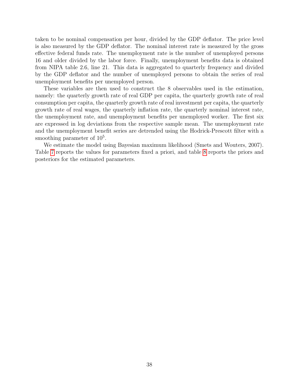taken to be nominal compensation per hour, divided by the GDP deflator. The price level is also measured by the GDP deflator. The nominal interest rate is measured by the gross effective federal funds rate. The unemployment rate is the number of unemployed persons 16 and older divided by the labor force. Finally, unemployment benefits data is obtained from NIPA table 2.6, line 21. This data is aggregated to quarterly frequency and divided by the GDP deflator and the number of unemployed persons to obtain the series of real unemployment benefits per unemployed person.

These variables are then used to construct the 8 observables used in the estimation, namely: the quarterly growth rate of real GDP per capita, the quarterly growth rate of real consumption per capita, the quarterly growth rate of real investment per capita, the quarterly growth rate of real wages, the quarterly inflation rate, the quarterly nominal interest rate, the unemployment rate, and unemployment benefits per unemployed worker. The first six are expressed in log deviations from the respective sample mean. The unemployment rate and the unemployment benefit series are detrended using the Hodrick-Prescott filter with a smoothing parameter of  $10<sup>5</sup>$ .

We estimate the model using Bayesian maximum likelihood (Smets and Wouters, 2007). Table [7](#page-75-0) reports the values for parameters fixed a priori, and table [8](#page-76-0) reports the priors and posteriors for the estimated parameters.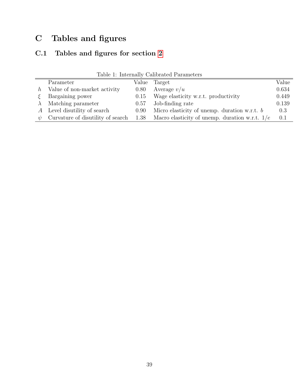# C Tables and figures

## C.1 Tables and figures for section [2](#page-8-0)

|        | Parameter                         | Value | Target                                                | Value |
|--------|-----------------------------------|-------|-------------------------------------------------------|-------|
|        | $h$ Value of non-market activity  | 0.80  | Average $v/u$                                         | 0.634 |
|        | Bargaining power                  | 0.15  | Wage elasticity w.r.t. productivity                   | 0.449 |
|        | Matching parameter                | 0.57  | Job-finding rate                                      | 0.139 |
|        | A Level disutility of search      | 0.90  | Micro elasticity of unemp. duration w.r.t. $b$        | 0.3   |
| $\psi$ | Curvature of disutility of search |       | 1.38 Macro elasticity of unemp. duration w.r.t. $1/e$ | 0.1   |

Table 1: Internally Calibrated Parameters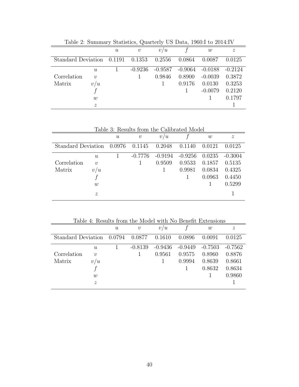| $\alpha$ and $\alpha$ . Summary Secondron, when $\alpha$ is $\alpha$ is $\alpha$ is $\alpha$ is $\alpha$ is $\alpha$ is $\alpha$ |                  |                           |            |           |        |                     |                  |
|----------------------------------------------------------------------------------------------------------------------------------|------------------|---------------------------|------------|-----------|--------|---------------------|------------------|
|                                                                                                                                  |                  | $\boldsymbol{\mathit{u}}$ | $\upsilon$ | v/u       |        | w                   | $\boldsymbol{z}$ |
| Standard Deviation $0.1191$ $0.1353$                                                                                             |                  |                           |            | 0.2556    | 0.0864 | 0.0087              | 0.0125           |
|                                                                                                                                  | $\boldsymbol{u}$ |                           | $-0.9236$  | $-0.9587$ |        | $-0.9064$ $-0.0188$ | $-0.2124$        |
| Correlation                                                                                                                      | $\boldsymbol{v}$ |                           |            | 0.9846    | 0.8900 | $-0.0039$           | 0.3872           |
| Matrix                                                                                                                           | v/u              |                           |            |           | 0.9176 | 0.0130              | 0.3253           |
|                                                                                                                                  |                  |                           |            |           |        | $-0.0079$           | 0.2120           |
|                                                                                                                                  | w                |                           |            |           |        |                     | 0.1797           |
|                                                                                                                                  | $\boldsymbol{z}$ |                           |            |           |        |                     |                  |

Table 2: Summary Statistics, Quarterly US Data, 1960:I to 2014:IV

Table 3: Results from the Calibrated Model

|                    |                  | $\boldsymbol{\mathit{u}}$ | $\boldsymbol{v}$ | v/u       |           | w      | $\boldsymbol{z}$ |
|--------------------|------------------|---------------------------|------------------|-----------|-----------|--------|------------------|
| Standard Deviation |                  | 0.0976                    | 0.1145           | 0.2048    | 0.1140    | 0.0121 | 0.0125           |
|                    | $\boldsymbol{u}$ |                           | $-0.7776$        | $-0.9194$ | $-0.9256$ | 0.0235 | $-0.3004$        |
| Correlation        | $\boldsymbol{v}$ |                           |                  | 0.9509    | 0.9533    | 0.1857 | 0.5135           |
| Matrix             | v/u              |                           |                  |           | 0.9981    | 0.0834 | 0.4325           |
|                    |                  |                           |                  |           |           | 0.0963 | 0.4450           |
|                    | w                |                           |                  |           |           |        | 0.5299           |
|                    | $\boldsymbol{z}$ |                           |                  |           |           |        |                  |

Table 4: Results from the Model with No Benefit Extensions  $u \hspace{1.2cm} v \hspace{1.2cm} v/u \hspace{1.2cm} f \hspace{1.2cm} w \hspace{1.2cm} z$ Standard Deviation 0.0794 0.0877 0.1610 0.0896 0.0091 0.0125 u 1 -0.8139 -0.9436 -0.9449 -0.7503 -0.7562  $\mbox{Correlation} \qquad v \qquad \qquad 1 \qquad \quad 0.9561 \quad \ 0.9575 \quad \ 0.8960 \quad \ 0.8876$ Matrix  $v/u$  1 0.9994 0.8639 0.8661 f 1 0.8632 0.8634 w  $1$  0.9860  $z \sim 1$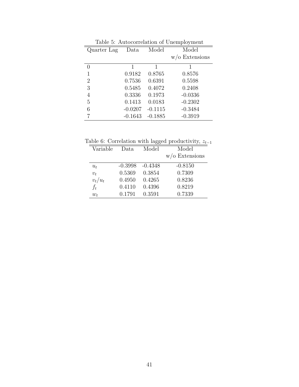| rable 5. Autocorrelation or Unemployment |           |           |                   |  |  |  |
|------------------------------------------|-----------|-----------|-------------------|--|--|--|
| Quarter Lag                              | Data      | Model     | Model             |  |  |  |
|                                          |           |           | $w$ /o Extensions |  |  |  |
| $\theta$                                 | 1         | 1         | 1                 |  |  |  |
| 1                                        | 0.9182    | 0.8765    | 0.8576            |  |  |  |
| $\overline{2}$                           | 0.7536    | 0.6391    | 0.5598            |  |  |  |
| 3                                        | 0.5485    | 0.4072    | 0.2408            |  |  |  |
| 4                                        | 0.3336    | 0.1973    | $-0.0336$         |  |  |  |
| 5                                        | 0.1413    | 0.0183    | $-0.2302$         |  |  |  |
| 6                                        | $-0.0207$ | $-0.1115$ | $-0.3484$         |  |  |  |
|                                          | $-0.1643$ | $-0.1885$ | $-0.3919$         |  |  |  |

Table 5: Autocorrelation of Unemployment

Table 6: Correlation with lagged productivity,  $z_{t-1}$ 

| Variable  | Data      | Model     | Model             |
|-----------|-----------|-----------|-------------------|
|           |           |           | $w$ /o Extensions |
| $u_t$     | $-0.3998$ | $-0.4348$ | $-0.8150$         |
| $v_t$     | 0.5369    | 0.3854    | 0.7309            |
| $v_t/u_t$ | 0.4950    | 0.4265    | 0.8236            |
| $f_t$     | 0.4110    | 0.4396    | 0.8219            |
| $w_t$     | 0.1791    | 0.3591    | 0.7339            |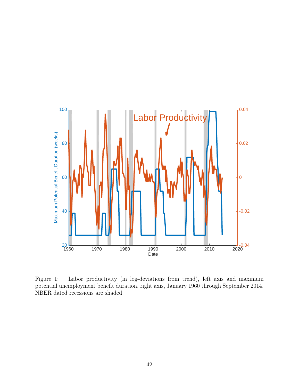

Figure 1: Labor productivity (in log-deviations from trend), left axis and maximum potential unemployment benefit duration, right axis, January 1960 through September 2014. NBER dated recessions are shaded.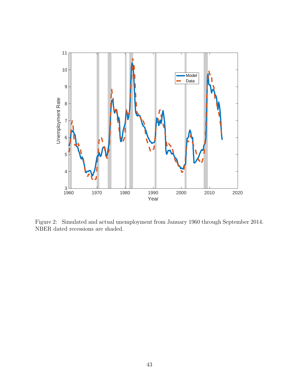

Figure 2: Simulated and actual unemployment from January 1960 through September 2014. NBER dated recessions are shaded.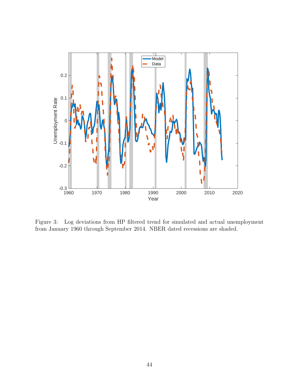

Figure 3: Log deviations from HP filtered trend for simulated and actual unemployment from January 1960 through September 2014. NBER dated recessions are shaded.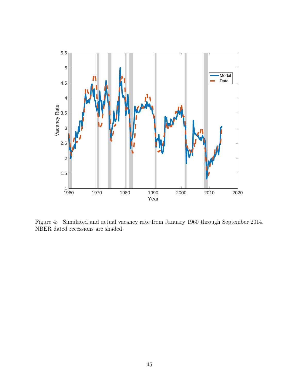

Figure 4: Simulated and actual vacancy rate from January 1960 through September 2014. NBER dated recessions are shaded.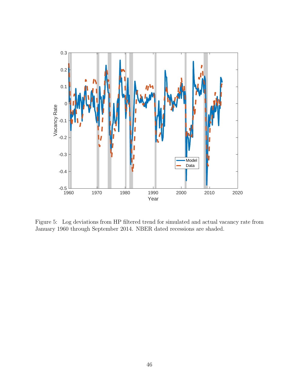

Figure 5: Log deviations from HP filtered trend for simulated and actual vacancy rate from January 1960 through September 2014. NBER dated recessions are shaded.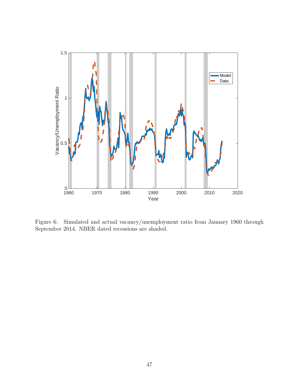

Figure 6: Simulated and actual vacancy/unemployment ratio from January 1960 through September 2014. NBER dated recessions are shaded.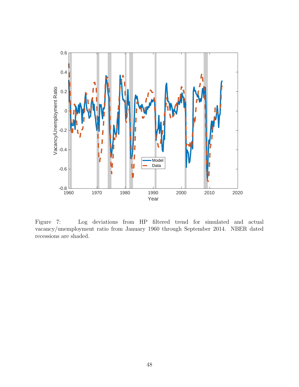

Figure 7: Log deviations from HP filtered trend for simulated and actual vacancy/unemployment ratio from January 1960 through September 2014. NBER dated recessions are shaded.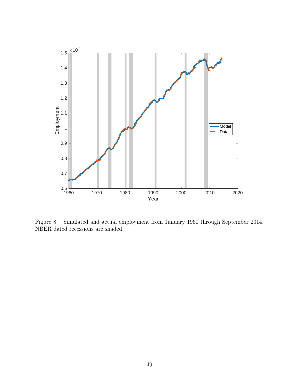

Figure 8: Simulated and actual employment from January 1960 through September 2014. NBER dated recessions are shaded.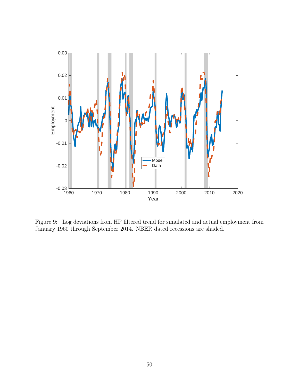

Figure 9: Log deviations from HP filtered trend for simulated and actual employment from January 1960 through September 2014. NBER dated recessions are shaded.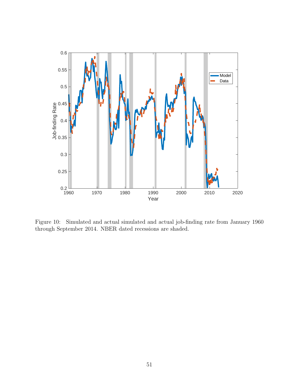

Figure 10: Simulated and actual simulated and actual job-finding rate from January 1960 through September 2014. NBER dated recessions are shaded.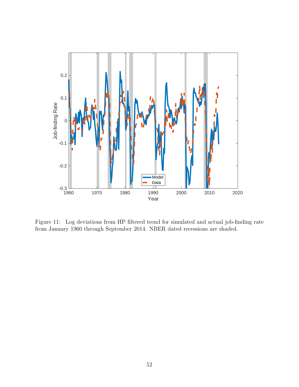

Figure 11: Log deviations from HP filtered trend for simulated and actual job-finding rate from January 1960 through September 2014. NBER dated recessions are shaded.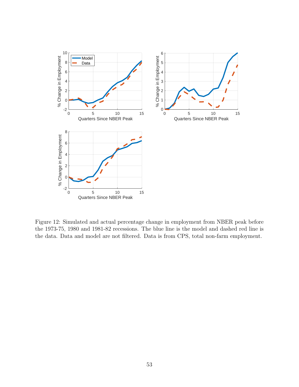

Figure 12: Simulated and actual percentage change in employment from NBER peak before the 1973-75, 1980 and 1981-82 recessions. The blue line is the model and dashed red line is the data. Data and model are not filtered. Data is from CPS, total non-farm employment.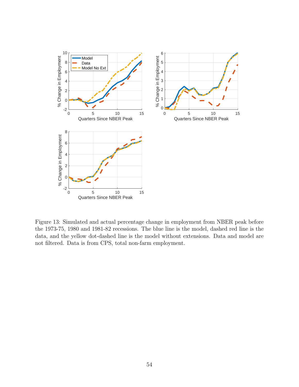

Figure 13: Simulated and actual percentage change in employment from NBER peak before the 1973-75, 1980 and 1981-82 recessions. The blue line is the model, dashed red line is the data, and the yellow dot-dashed line is the model without extensions. Data and model are not filtered. Data is from CPS, total non-farm employment.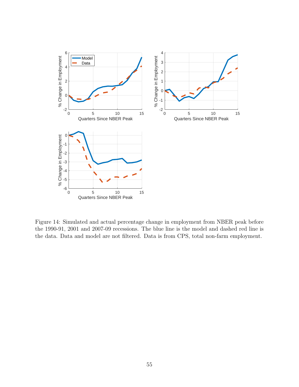

Figure 14: Simulated and actual percentage change in employment from NBER peak before the 1990-91, 2001 and 2007-09 recessions. The blue line is the model and dashed red line is the data. Data and model are not filtered. Data is from CPS, total non-farm employment.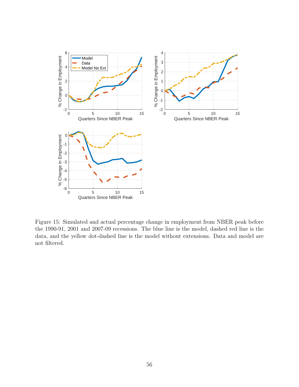

Figure 15: Simulated and actual percentage change in employment from NBER peak before the 1990-91, 2001 and 2007-09 recessions. The blue line is the model, dashed red line is the data, and the yellow dot-dashed line is the model without extensions. Data and model are not filtered.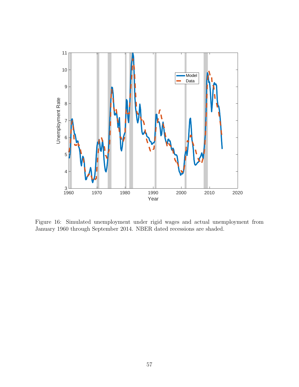

Figure 16: Simulated unemployment under rigid wages and actual unemployment from January 1960 through September 2014. NBER dated recessions are shaded.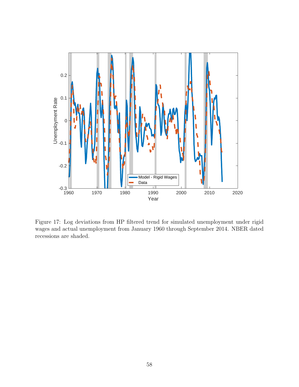

Figure 17: Log deviations from HP filtered trend for simulated unemployment under rigid wages and actual unemployment from January 1960 through September 2014. NBER dated recessions are shaded.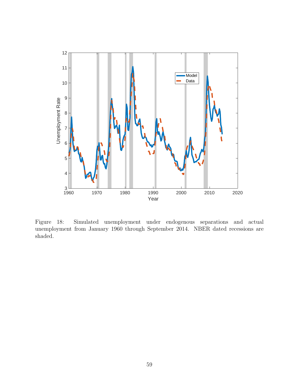

Figure 18: Simulated unemployment under endogenous separations and actual unemployment from January 1960 through September 2014. NBER dated recessions are shaded.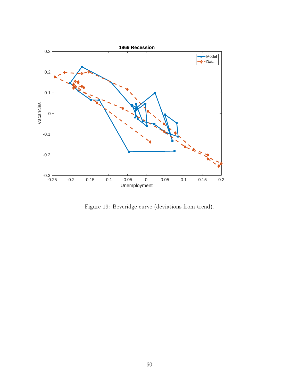

Figure 19: Beveridge curve (deviations from trend).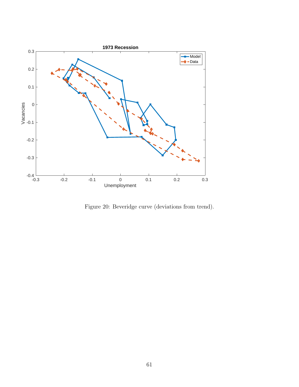

Figure 20: Beveridge curve (deviations from trend).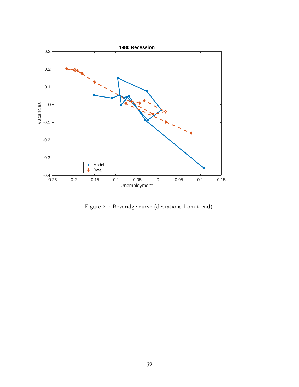

Figure 21: Beveridge curve (deviations from trend).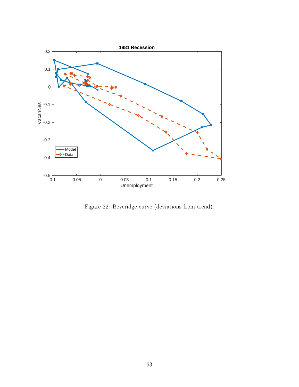

Figure 22: Beveridge curve (deviations from trend).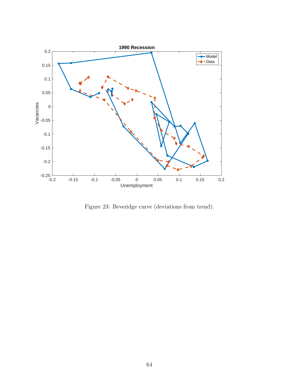

Figure 23: Beveridge curve (deviations from trend).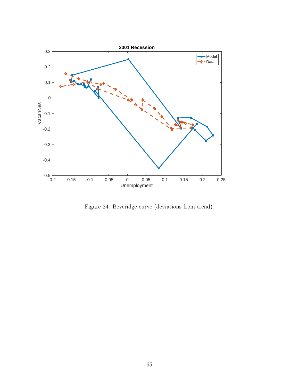

Figure 24: Beveridge curve (deviations from trend).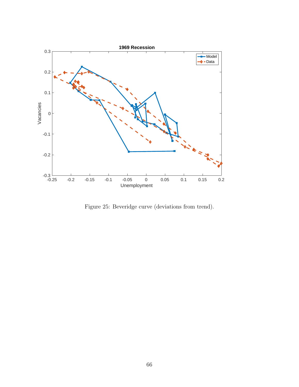

Figure 25: Beveridge curve (deviations from trend).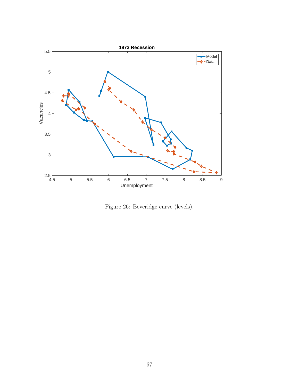

Figure 26: Beveridge curve (levels).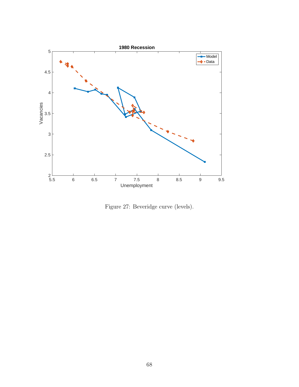

Figure 27: Beveridge curve (levels).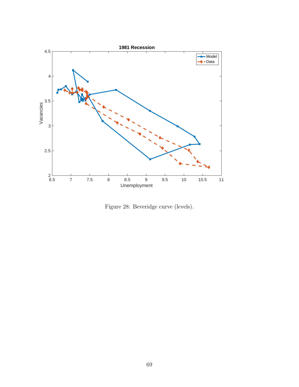

Figure 28: Beveridge curve (levels).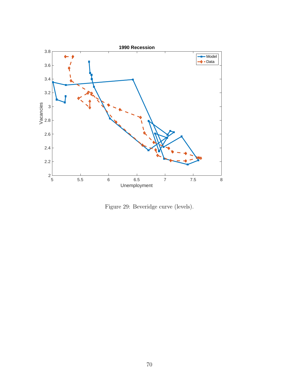

Figure 29: Beveridge curve (levels).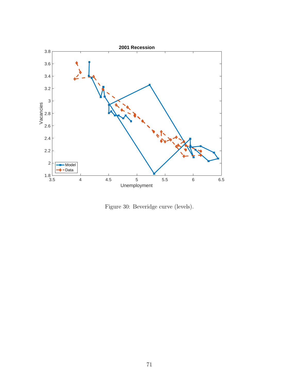

Figure 30: Beveridge curve (levels).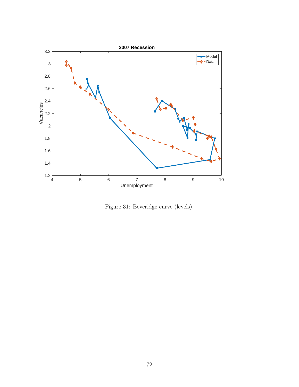

Figure 31: Beveridge curve (levels).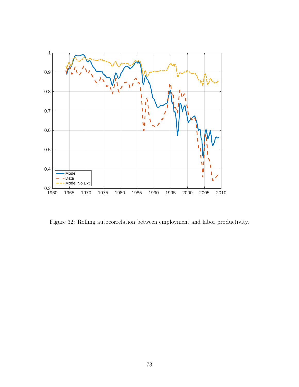

Figure 32: Rolling autocorrelation between employment and labor productivity.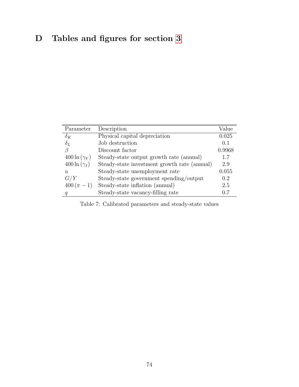## D Tables and figures for section [3](#page-16-0)

| Parameter            | Description                                  | Value  |
|----------------------|----------------------------------------------|--------|
| $\delta_K$           | Physical capital depreciation                | 0.025  |
| $\delta_L$           | Job destruction                              | 0.1    |
| ß                    | Discount factor                              | 0.9968 |
| $400 \ln (\gamma_Y)$ | Steady-state output growth rate (annual)     | 1.7    |
| $400 \ln (\gamma_I)$ | Steady-state investment growth rate (annual) | 2.9    |
| u                    | Steady-state unemployment rate               | 0.055  |
| G/Y                  | Steady-state government spending/output      | 0.2    |
| $400(\pi - 1)$       | Steady-state inflation (annual)              | 2.5    |
| q                    | Steady-state vacancy-filling rate            | 0.7    |

Table 7: Calibrated parameters and steady-state values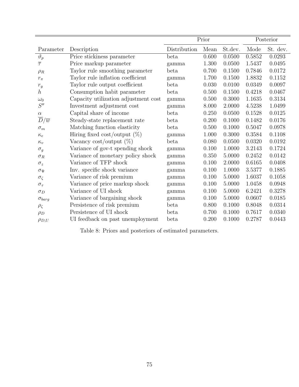|                             |                                      | Prior        |       | Posterior |        |          |
|-----------------------------|--------------------------------------|--------------|-------|-----------|--------|----------|
| Parameter                   | Description                          | Distribution | Mean  | St.dev.   | Mode   | St. dev. |
| $\vartheta_p$               | Price stickiness parameter           | beta         | 0.600 | 0.0500    | 0.5852 | 0.0293   |
| $\overline{\tau}$           | Price markup parameter               | gamma        | 1.300 | 0.0500    | 1.5437 | 0.0495   |
| $\rho_R$                    | Taylor rule smoothing parameter      | beta         | 0.700 | 0.1500    | 0.7846 | 0.0172   |
| $r_\pi$                     | Taylor rule inflation coefficient    | gamma        | 1.700 | 0.1500    | 1.8832 | 0.1152   |
| $r_y$                       | Taylor rule output coefficient       | beta         | 0.030 | 0.0100    | 0.0349 | 0.0097   |
| $\hbar$                     | Consumption habit parameter          | beta         | 0.500 | 0.1500    | 0.4218 | 0.0467   |
| $\omega_0$                  | Capacity utilization adjustment cost | gamma        | 0.500 | 0.3000    | 1.1635 | 0.3134   |
| S''                         | Investment adjustment cost           | gamma        | 8.000 | 2.0000    | 4.5238 | 1.0499   |
| $\alpha$                    | Capital share of income              | beta         | 0.250 | 0.0500    | 0.1528 | 0.0125   |
| $\overline{D}/\overline{w}$ | Steady-state replacement rate        | beta         | 0.200 | 0.1000    | 0.1482 | 0.0176   |
| $\sigma_m$                  | Matching function elasticity         | beta         | 0.500 | 0.1000    | 0.5047 | 0.0978   |
| $\kappa_e$                  | Hiring fixed cost/output $(\%)$      | gamma        | 1.000 | 0.3000    | 0.3584 | 0.1108   |
| $\kappa_v$                  | Vacancy cost/output $(\%)$           | beta         | 0.080 | 0.0500    | 0.0320 | 0.0192   |
| $\sigma_g$                  | Variance of gov-t spending shock     | gamma        | 0.100 | 1.0000    | 3.2143 | 0.1724   |
| $\sigma_R$                  | Variance of monetary policy shock    | gamma        | 0.350 | 5.0000    | 0.2452 | 0.0142   |
| $\sigma_z$                  | Variance of TFP shock                | gamma        | 0.100 | 2.0000    | 0.6165 | 0.0408   |
| $\sigma_{\Psi}$             | Inv. specific shock variance         | gamma        | 0.100 | 1.0000    | 3.5377 | 0.1885   |
| $\sigma_{\zeta}$            | Variance of risk premium             | gamma        | 0.100 | 5.0000    | 1.6037 | 0.1058   |
| $\sigma_{\tau}$             | Variance of price markup shock       | gamma        | 0.100 | 5.0000    | 1.0458 | 0.0948   |
| $\sigma_D$                  | Variance of UI shock                 | gamma        | 0.100 | 5.0000    | 6.2421 | 0.3278   |
| $\sigma_{barg}$             | Variance of bargaining shock         | gamma        | 0.100 | 5.0000    | 0.0607 | 0.0185   |
| $\rho_{\zeta}$              | Persistence of risk premium          | beta         | 0.800 | 0.1000    | 0.8048 | 0.0314   |
| $\rho_D$                    | Persistence of UI shock              | beta         | 0.700 | 0.1000    | 0.7617 | 0.0340   |
| $\rho_{D,U}$                | UI feedback on past unemployment     | beta         | 0.200 | 0.1000    | 0.2787 | 0.0443   |

Table 8: Priors and posteriors of estimated parameters.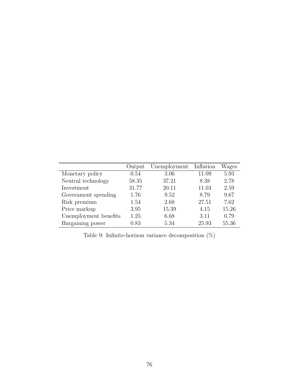|                       | Output | Unemployment | Inflation | Wages |
|-----------------------|--------|--------------|-----------|-------|
| Monetary policy       | 0.54   | 3.06         | 11.09     | 5.93  |
| Neutral technology    | 58.35  | 37.21        | 8.38      | 2.78  |
| Investment            | 31.77  | 20.11        | 11.03     | 2.59  |
| Government spending   | 1.76   | 9.52         | 8.79      | 9.67  |
| Risk premium          | 1.54   | 2.68         | 27.51     | 7.62  |
| Price markup          | 3.95   | 15.39        | 4.15      | 15.26 |
| Unemployment benefits | 1.25   | 6.68         | 3.11      | 0.79  |
| Bargaining power      | 0.83   | 5.34         | 25.93     | 55.36 |

Table 9: Infinite-horizon variance decomposition  $(\%)$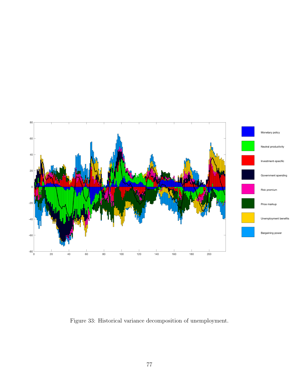

Figure 33: Historical variance decomposition of unemployment.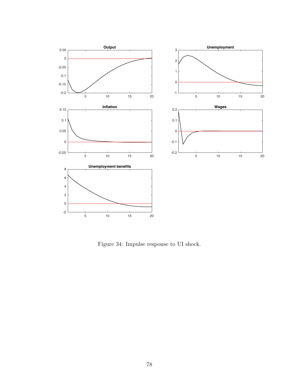

Figure 34: Impulse response to UI shock.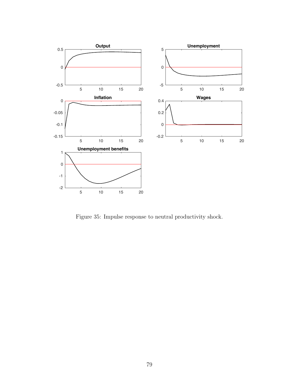

Figure 35: Impulse response to neutral productivity shock.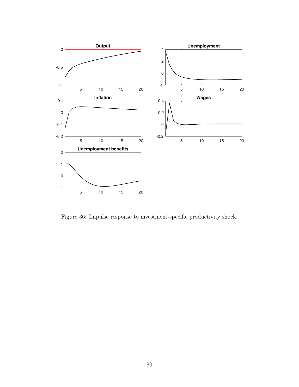

Figure 36: Impulse response to investment-specific productivity shock.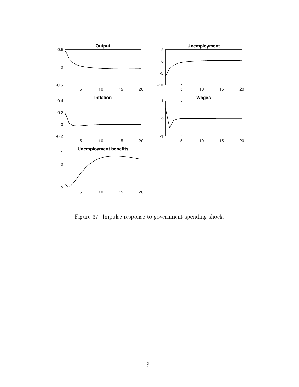

Figure 37: Impulse response to government spending shock.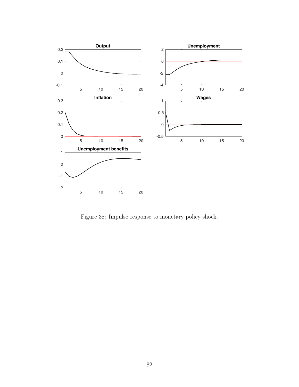

Figure 38: Impulse response to monetary policy shock.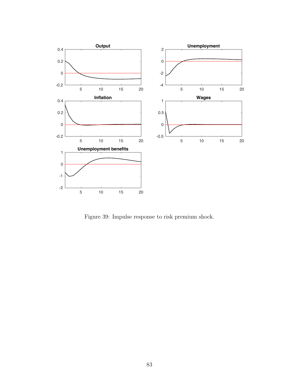

Figure 39: Impulse response to risk premium shock.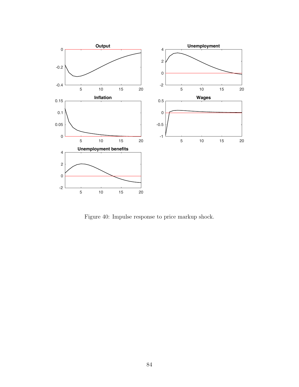

Figure 40: Impulse response to price markup shock.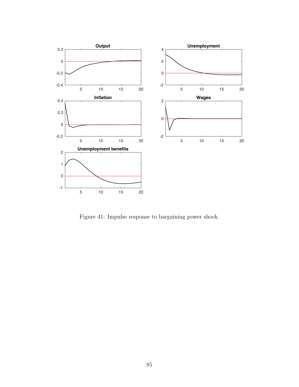

Figure 41: Impulse response to bargaining power shock.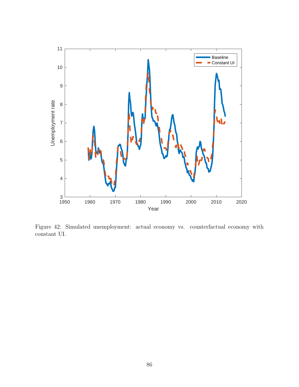

Figure 42: Simulated unemployment: actual economy vs. counterfactual economy with constant UI.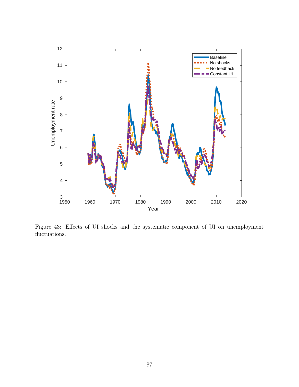

Figure 43: Effects of UI shocks and the systematic component of UI on unemployment fluctuations.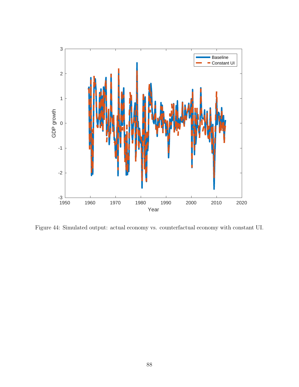

Figure 44: Simulated output: actual economy vs. counterfactual economy with constant UI.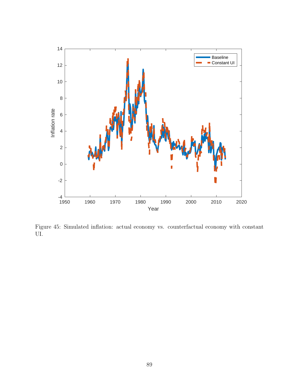

Figure 45: Simulated inflation: actual economy vs. counterfactual economy with constant UI.